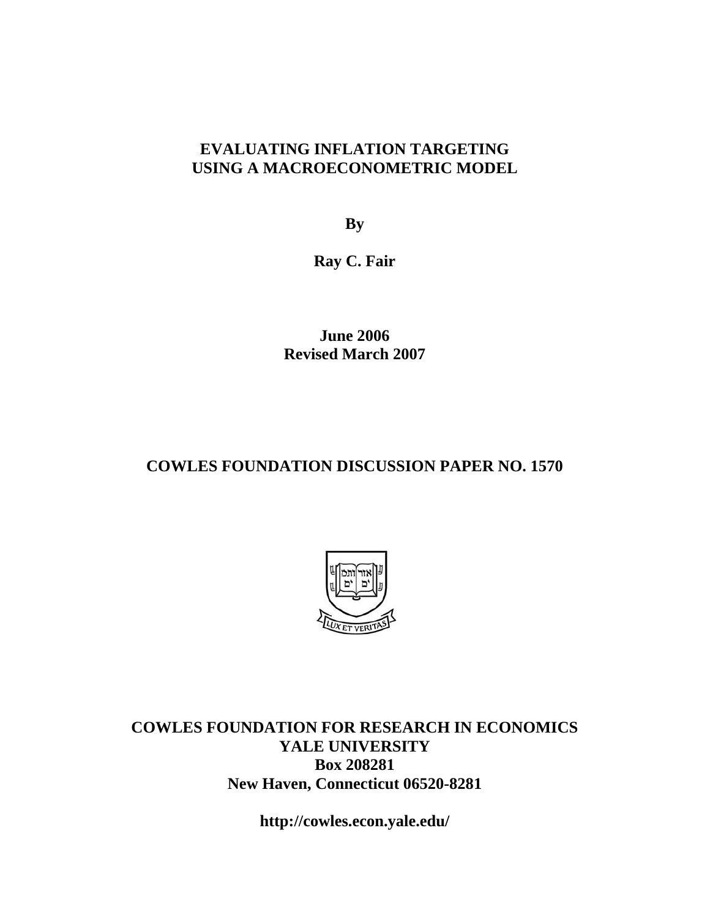### **EVALUATING INFLATION TARGETING USING A MACROECONOMETRIC MODEL**

**By** 

**Ray C. Fair** 

**June 2006 Revised March 2007** 

### **COWLES FOUNDATION DISCUSSION PAPER NO. 1570**



**COWLES FOUNDATION FOR RESEARCH IN ECONOMICS YALE UNIVERSITY Box 208281 New Haven, Connecticut 06520-8281** 

**http://cowles.econ.yale.edu/**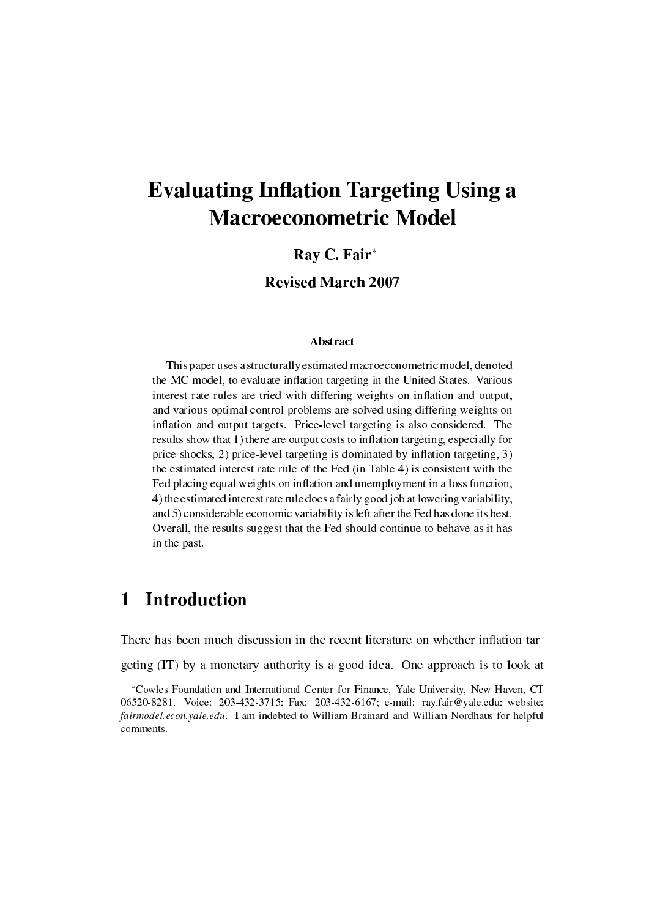# **Evaluating Inflation Targeting Using a** Macroeconometric Model

### Ray C. Fair*<sup>∗</sup>*

### Revised March 2007

#### Abstract

This paper uses a structurally estimated macroeconometric model, denoted the MC model, to evaluate inflation targeting in the United States. Various interest rate rules are tried with differing weights on inflation and output, and various optimal control problems are solved using differing weights on inflation and output targets. Price-level targeting is also considered. The results show that 1) there are output costs to inflation targeting, especially for price shocks,  $2$ ) price-level targeting is dominated by inflation targeting,  $3$ ) the estimated interest rate rule of the Fed (in Table 4) is consistent with the Fed placing equal weights on inflation and unemployment in a loss function, 4) the estimated interest rate rule does a fairly good job at lowering variability, and 5) considerable economic variability is left after the Fed has done its best. Overall, the results suggest that the Fed should continue to behave as it has in the past.

## 1 Introduction

There has been much discussion in the recent literature on whether inflation tar-

geting (IT) by a monetary authority is a good idea. One approach is to look at

*<sup>∗</sup>*Cowles Foundation and International Center for Finance, Yale University, New Haven, CT 06520-8281. Voice: 203-432-3715; Fax: 203-432-6167; e-mail: ray.fair@yale.edu; website: fairmodel.econ.yale.edu. I am indebted to William Brainard and William Nordhaus for helpful comments.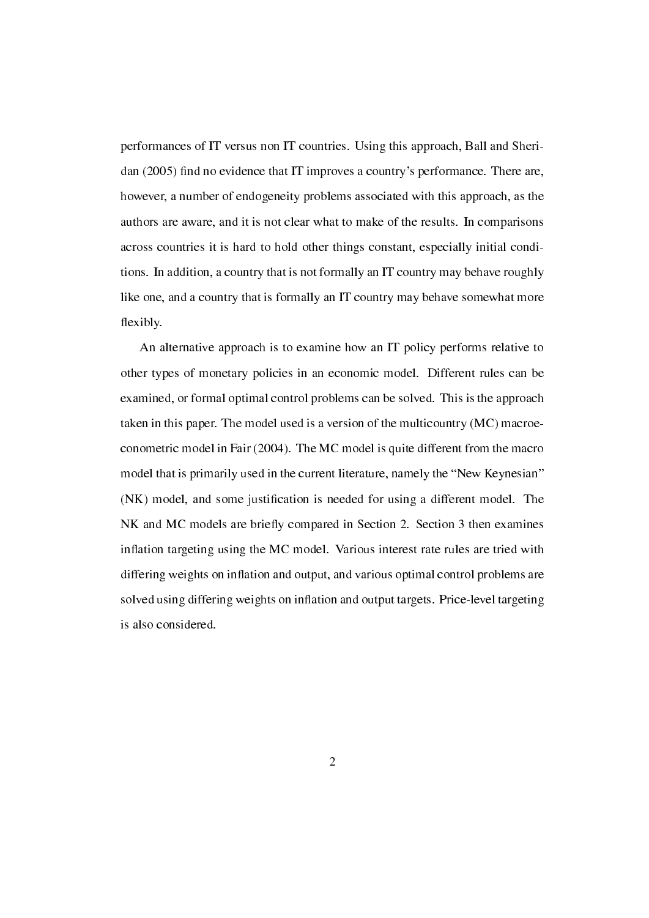performances of IT versus non IT countries. Using this approach, Ball and Sheridan (2005) find no evidence that IT improves a country's performance. There are, however, a number of endogeneity problems associated with this approach, as the authors are aware, and it is not clear what to make of the results. In comparisons across countries it is hard to hold other things constant, especially initial conditions. In addition, a country that is not formally an IT country may behave roughly like one, and a country that is formally an IT country may behave somewhat more flexibly.

An alternative approach is to examine how an IT policy performs relative to other types of monetary policies in an economic model. Different rules can be examined, or formal optimal control problems can be solved. This is the approach taken in this paper. The model used is a version of the multicountry (MC) macroeconometric model in Fair (2004). The MC model is quite different from the macro model that is primarily used in the current literature, namely the "New Keynesian" (NK) model, and some justication is needed for using a different model. The NK and MC models are briefly compared in Section 2. Section 3 then examines inflation targeting using the MC model. Various interest rate rules are tried with differing weights on inflation and output, and various optimal control problems are solved using differing weights on inflation and output targets. Price-level targeting is also considered.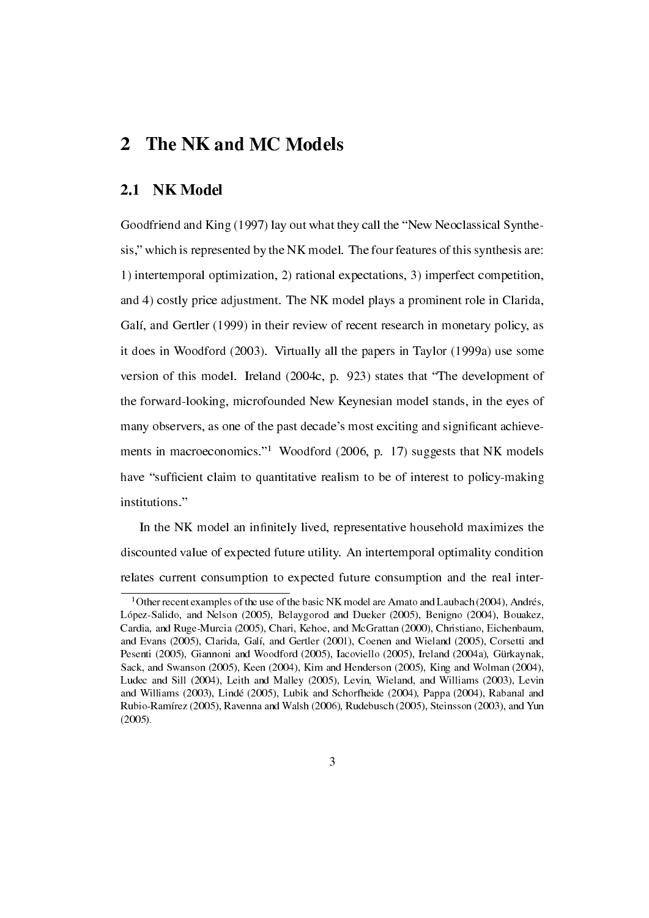### 2 The NK and MC Models

### 2.1 NK Model

Goodfriend and King (1997) lay out what they call the "New Neoclassical Synthesis," which is represented by the NK model. The four features of this synthesis are: 1) intertemporal optimization, 2) rational expectations, 3) imperfect competition, and 4) costly price adjustment. The NK model plays a prominent role in Clarida, Galí, and Gertler (1999) in their review of recent research in monetary policy, as it does in Woodford (2003). Virtually all the papers in Taylor (1999a) use some version of this model. Ireland (2004c, p. 923) states that "The development of the forward-looking, microfounded New Keynesian model stands, in the eyes of many observers, as one of the past decade's most exciting and signicant achievements in macroeconomics."<sup>1</sup> Woodford (2006, p. 17) suggests that NK models have "sufficient claim to quantitative realism to be of interest to policy-making institutions."

In the NK model an infinitely lived, representative household maximizes the discounted value of expected future utility. An intertemporal optimality condition relates current consumption to expected future consumption and the real inter-

<sup>&</sup>lt;sup>1</sup> Other recent examples of the use of the basic NK model are Amato and Laubach (2004), Andrés, López-Salido, and Nelson (2005), Belaygorod and Dueker (2005), Benigno (2004), Bouakez, Cardia, and Ruge-Murcia (2005), Chari, Kehoe, and McGrattan (2000), Christiano, Eichenbaum, and Evans (2005), Clarida, Galí, and Gertler (2001), Coenen and Wieland (2005), Corsetti and Pesenti (2005), Giannoni and Woodford (2005), Iacoviello (2005), Ireland (2004a), Gürkaynak, Sack, and Swanson (2005), Keen (2004), Kim and Henderson (2005), King and Wolman (2004), Ludec and Sill (2004), Leith and Malley (2005), Levin, Wieland, and Williams (2003), Levin and Williams (2003), Lindé (2005), Lubik and Schorfheide (2004), Pappa (2004), Rabanal and Rubio-Ramírez (2005), Ravenna and Walsh (2006), Rudebusch (2005), Steinsson (2003), and Yun (2005).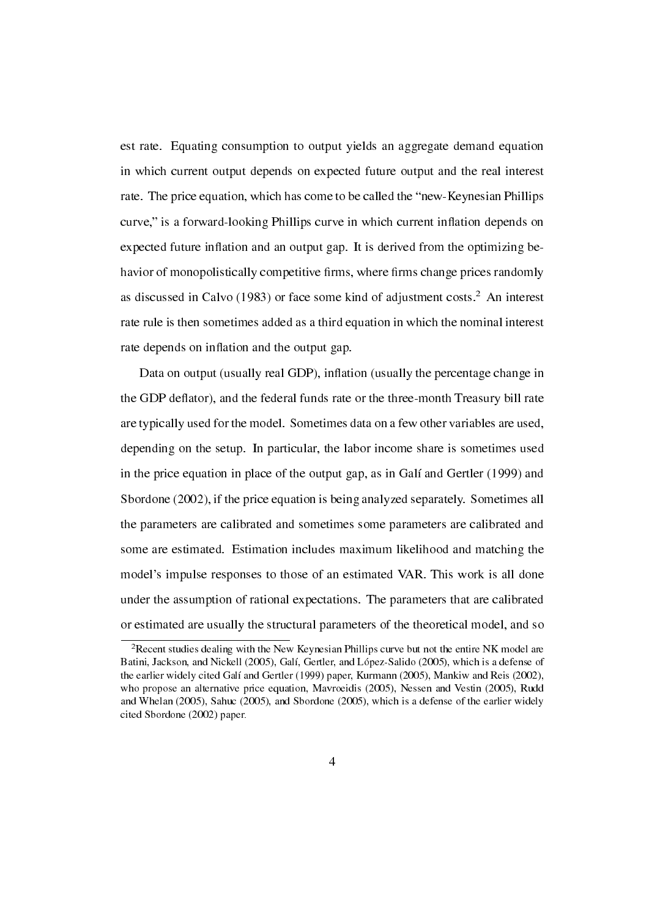est rate. Equating consumption to output yields an aggregate demand equation in which current output depends on expected future output and the real interest rate. The price equation, which has come to be called the "new-Keynesian Phillips" curve," is a forward-looking Phillips curve in which current inflation depends on expected future inflation and an output gap. It is derived from the optimizing behavior of monopolistically competitive firms, where firms change prices randomly as discussed in Calvo (1983) or face some kind of adjustment costs.<sup>2</sup> An interest rate rule is then sometimes added as a third equation in which the nominal interest rate depends on inflation and the output gap.

Data on output (usually real GDP), inflation (usually the percentage change in the GDP deflator), and the federal funds rate or the three-month Treasury bill rate are typically used for the model. Sometimes data on a few other variables are used, depending on the setup. In particular, the labor income share is sometimes used in the price equation in place of the output gap, as in Galí and Gertler (1999) and Sbordone (2002), if the price equation is being analyzed separately. Sometimes all the parameters are calibrated and sometimes some parameters are calibrated and some are estimated. Estimation includes maximum likelihood and matching the model's impulse responses to those of an estimated VAR. This work is all done under the assumption of rational expectations. The parameters that are calibrated or estimated are usually the structural parameters of the theoretical model, and so

<sup>&</sup>lt;sup>2</sup>Recent studies dealing with the New Keynesian Phillips curve but not the entire NK model are Batini, Jackson, and Nickell (2005), Galí, Gertler, and López-Salido (2005), which is a defense of the earlier widely cited Galí and Gertler (1999) paper, Kurmann (2005), Mankiw and Reis (2002), who propose an alternative price equation, Mavroeidis (2005), Nessen and Vestin (2005), Rudd and Whelan (2005), Sahuc (2005), and Sbordone (2005), which is a defense of the earlier widely cited Sbordone (2002) paper.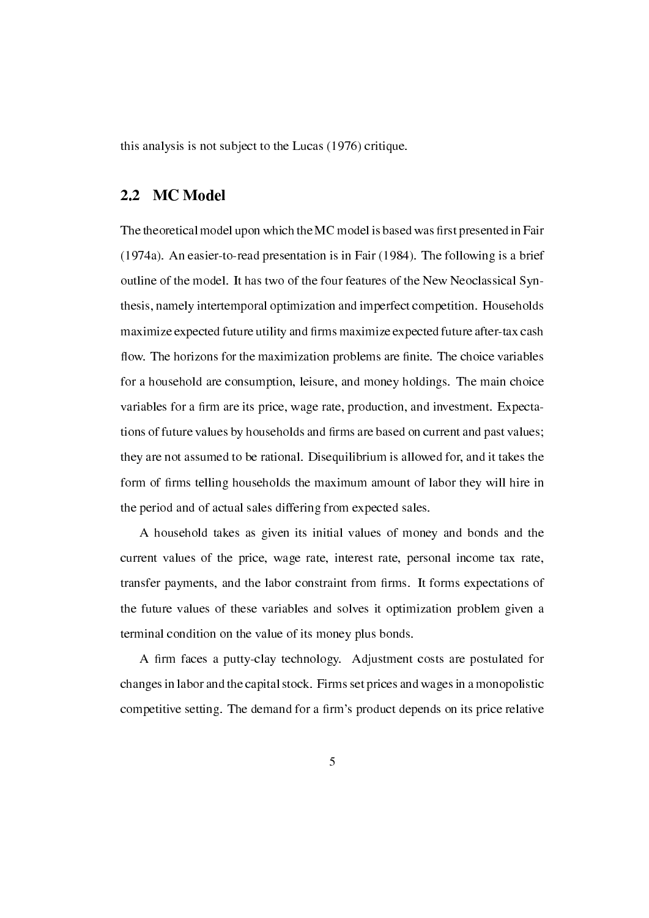this analysis is not subject to the Lucas (1976) critique.

### 2.2 MC Model

The theoretical model upon which the MC model is based was first presented in Fair (1974a). An easier-to-read presentation is in Fair (1984). The following is a brief outline of the model. It has two of the four features of the New Neoclassical Synthesis, namely intertemporal optimization and imperfect competition. Households maximize expected future utility and firms maximize expected future after-tax cash flow. The horizons for the maximization problems are finite. The choice variables for a household are consumption, leisure, and money holdings. The main choice variables for a firm are its price, wage rate, production, and investment. Expectations of future values by households and firms are based on current and past values; they are not assumed to be rational. Disequilibrium is allowed for, and it takes the form of firms telling households the maximum amount of labor they will hire in the period and of actual sales differing from expected sales.

A household takes as given its initial values of money and bonds and the current values of the price, wage rate, interest rate, personal income tax rate, transfer payments, and the labor constraint from firms. It forms expectations of the future values of these variables and solves it optimization problem given a terminal condition on the value of its money plus bonds.

A firm faces a putty-clay technology. Adjustment costs are postulated for changes in labor and the capital stock. Firms set prices and wages in a monopolistic competitive setting. The demand for a firm's product depends on its price relative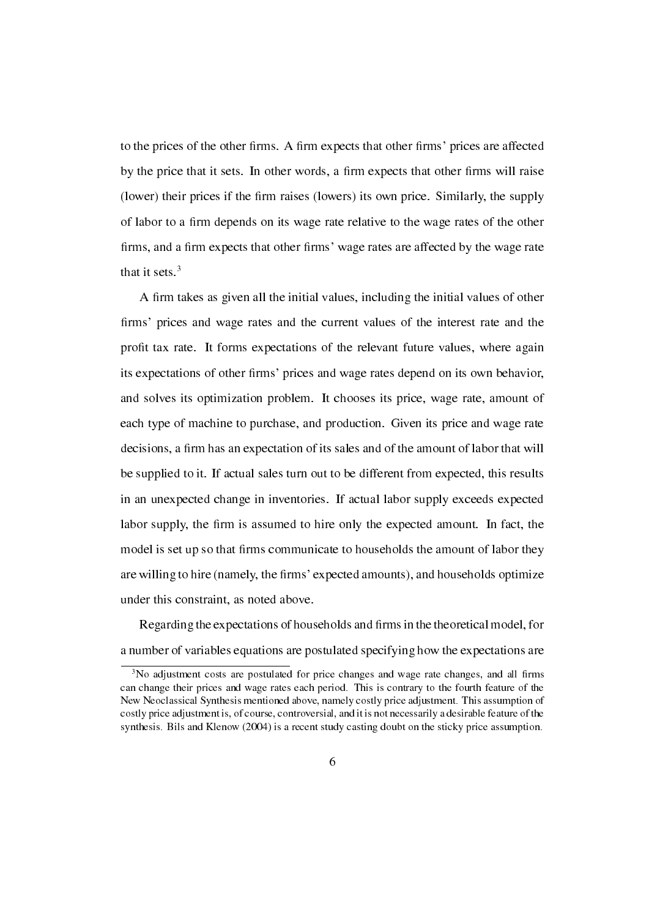to the prices of the other firms. A firm expects that other firms' prices are affected by the price that it sets. In other words, a firm expects that other firms will raise (lower) their prices if the firm raises (lowers) its own price. Similarly, the supply of labor to a firm depends on its wage rate relative to the wage rates of the other firms, and a firm expects that other firms' wage rates are affected by the wage rate that it sets. $3$ 

A firm takes as given all the initial values, including the initial values of other firms' prices and wage rates and the current values of the interest rate and the profit tax rate. It forms expectations of the relevant future values, where again its expectations of other firms' prices and wage rates depend on its own behavior, and solves its optimization problem. It chooses its price, wage rate, amount of each type of machine to purchase, and production. Given its price and wage rate decisions, a firm has an expectation of its sales and of the amount of labor that will be supplied to it. If actual sales turn out to be different from expected, this results in an unexpected change in inventories. If actual labor supply exceeds expected labor supply, the firm is assumed to hire only the expected amount. In fact, the model is set up so that firms communicate to households the amount of labor they are willing to hire (namely, the firms' expected amounts), and households optimize under this constraint, as noted above.

Regarding the expectations of households and firms in the theoretical model, for a number of variables equations are postulated specifying how the expectations are

<sup>&</sup>lt;sup>3</sup>No adjustment costs are postulated for price changes and wage rate changes, and all firms can change their prices and wage rates each period. This is contrary to the fourth feature of the New Neoclassical Synthesis mentioned above, namely costly price adjustment. This assumption of costly price adjustment is, of course, controversial, and it is not necessarily a desirable feature of the synthesis. Bils and Klenow (2004) is a recent study casting doubt on the sticky price assumption.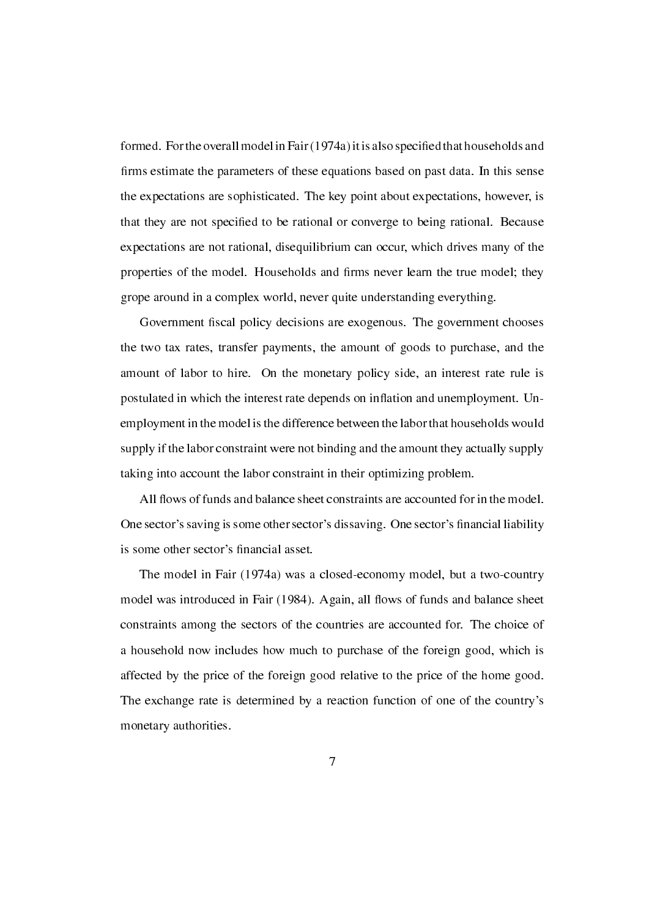formed. For the overall model in Fair (1974a) it is also specied that households and firms estimate the parameters of these equations based on past data. In this sense the expectations are sophisticated. The key point about expectations, however, is that they are not specied to be rational or converge to being rational. Because expectations are not rational, disequilibrium can occur, which drives many of the properties of the model. Households and firms never learn the true model; they grope around in a complex world, never quite understanding everything.

Government fiscal policy decisions are exogenous. The government chooses the two tax rates, transfer payments, the amount of goods to purchase, and the amount of labor to hire. On the monetary policy side, an interest rate rule is postulated in which the interest rate depends on inflation and unemployment. Unemployment in the model is the difference between the labor that households would supply if the labor constraint were not binding and the amount they actually supply taking into account the labor constraint in their optimizing problem.

All flows of funds and balance sheet constraints are accounted for in the model. One sector's saving is some other sector's dissaving. One sector's financial liability is some other sector's financial asset.

The model in Fair (1974a) was a closed-economy model, but a two-country model was introduced in Fair (1984). Again, all flows of funds and balance sheet constraints among the sectors of the countries are accounted for. The choice of a household now includes how much to purchase of the foreign good, which is affected by the price of the foreign good relative to the price of the home good. The exchange rate is determined by a reaction function of one of the country's monetary authorities.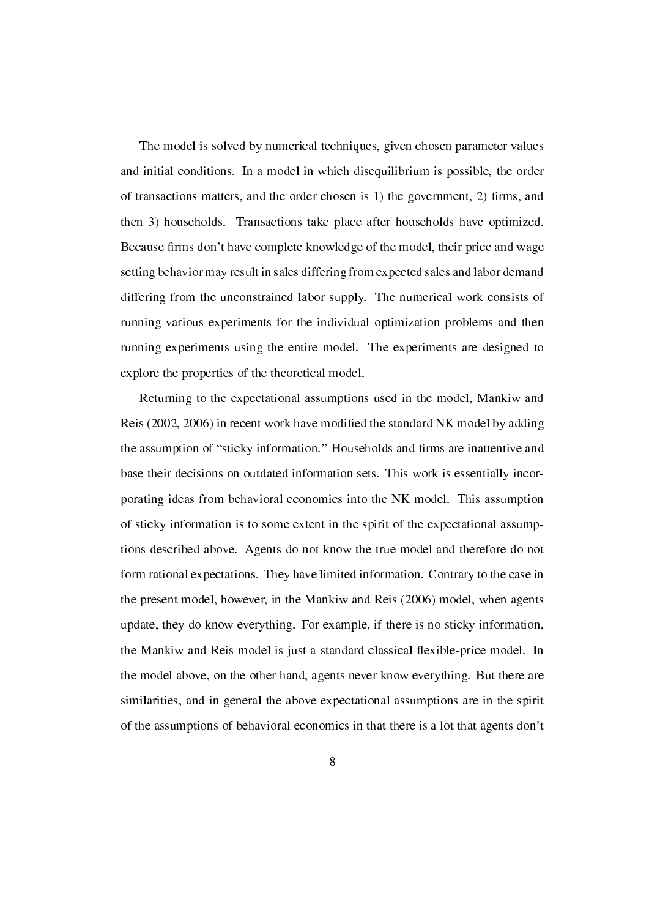The model is solved by numerical techniques, given chosen parameter values and initial conditions. In a model in which disequilibrium is possible, the order of transactions matters, and the order chosen is  $1$ ) the government,  $2$ ) firms, and then 3) households. Transactions take place after households have optimized. Because firms don't have complete knowledge of the model, their price and wage setting behavior may result in sales differing from expected sales and labor demand differing from the unconstrained labor supply. The numerical work consists of running various experiments for the individual optimization problems and then running experiments using the entire model. The experiments are designed to explore the properties of the theoretical model.

Returning to the expectational assumptions used in the model, Mankiw and Reis (2002, 2006) in recent work have modied the standard NK model by adding the assumption of "sticky information." Households and firms are inattentive and base their decisions on outdated information sets. This work is essentially incorporating ideas from behavioral economics into the NK model. This assumption of sticky information is to some extent in the spirit of the expectational assumptions described above. Agents do not know the true model and therefore do not form rational expectations. They have limited information. Contrary to the case in the present model, however, in the Mankiw and Reis (2006) model, when agents update, they do know everything. For example, if there is no sticky information, the Mankiw and Reis model is just a standard classical flexible-price model. In the model above, on the other hand, agents never know everything. But there are similarities, and in general the above expectational assumptions are in the spirit of the assumptions of behavioral economics in that there is a lot that agents don't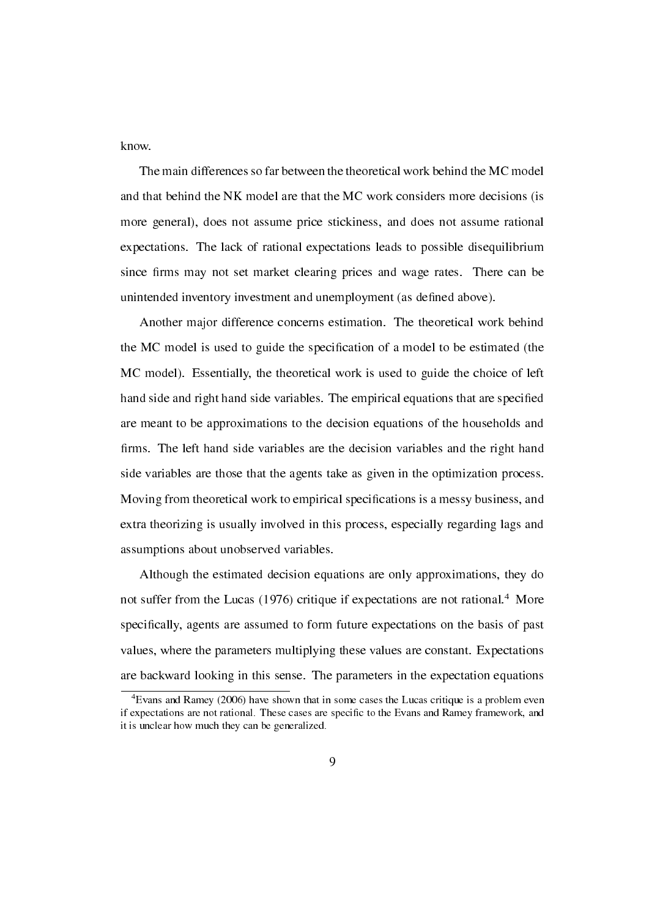know.

The main differences so far between the theoretical work behind the MC model and that behind the NK model are that the MC work considers more decisions (is more general), does not assume price stickiness, and does not assume rational expectations. The lack of rational expectations leads to possible disequilibrium since firms may not set market clearing prices and wage rates. There can be unintended inventory investment and unemployment (as defined above).

Another major difference concerns estimation. The theoretical work behind the MC model is used to guide the specification of a model to be estimated (the MC model). Essentially, the theoretical work is used to guide the choice of left hand side and right hand side variables. The empirical equations that are specied are meant to be approximations to the decision equations of the households and firms. The left hand side variables are the decision variables and the right hand side variables are those that the agents take as given in the optimization process. Moving from theoretical work to empirical specications is a messy business, and extra theorizing is usually involved in this process, especially regarding lags and assumptions about unobserved variables.

Although the estimated decision equations are only approximations, they do not suffer from the Lucas (1976) critique if expectations are not rational.<sup>4</sup> More specifically, agents are assumed to form future expectations on the basis of past values, where the parameters multiplying these values are constant. Expectations are backward looking in this sense. The parameters in the expectation equations

<sup>4</sup>Evans and Ramey (2006) have shown that in some cases the Lucas critique is a problem even if expectations are not rational. These cases are specific to the Evans and Ramey framework, and it is unclear how much they can be generalized.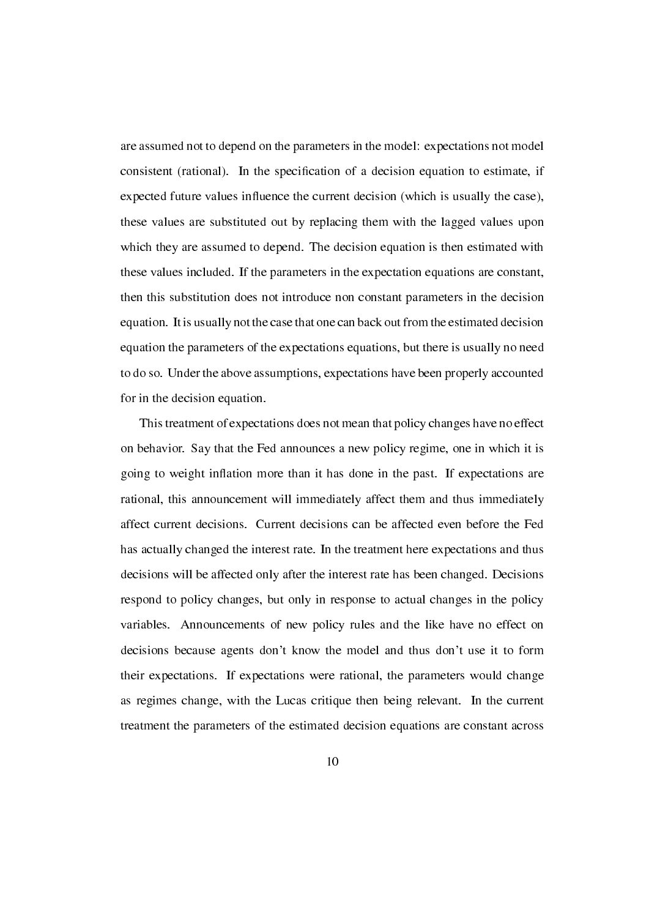are assumed not to depend on the parameters in the model: expectations not model consistent (rational). In the specication of a decision equation to estimate, if expected future values influence the current decision (which is usually the case), these values are substituted out by replacing them with the lagged values upon which they are assumed to depend. The decision equation is then estimated with these values included. If the parameters in the expectation equations are constant, then this substitution does not introduce non constant parameters in the decision equation. It is usually not the case that one can back out from the estimated decision equation the parameters of the expectations equations, but there is usually no need to do so. Under the above assumptions, expectations have been properly accounted for in the decision equation.

This treatment of expectations does not mean that policy changes have no effect on behavior. Say that the Fed announces a new policy regime, one in which it is going to weight inflation more than it has done in the past. If expectations are rational, this announcement will immediately affect them and thus immediately affect current decisions. Current decisions can be affected even before the Fed has actually changed the interest rate. In the treatment here expectations and thus decisions will be affected only after the interest rate has been changed. Decisions respond to policy changes, but only in response to actual changes in the policy variables. Announcements of new policy rules and the like have no effect on decisions because agents don't know the model and thus don't use it to form their expectations. If expectations were rational, the parameters would change as regimes change, with the Lucas critique then being relevant. In the current treatment the parameters of the estimated decision equations are constant across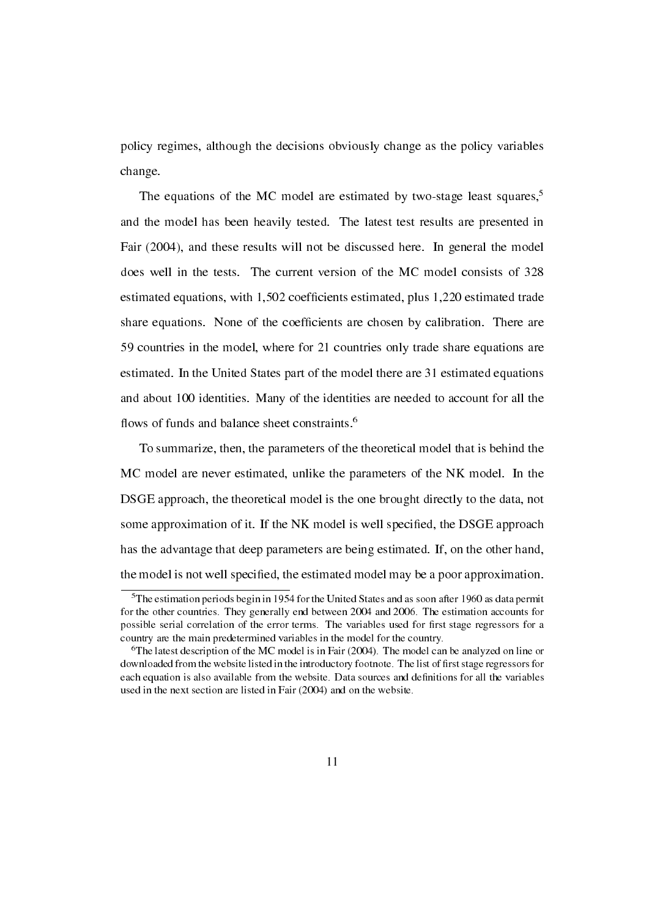policy regimes, although the decisions obviously change as the policy variables change.

The equations of the MC model are estimated by two-stage least squares,<sup>5</sup> and the model has been heavily tested. The latest test results are presented in Fair (2004), and these results will not be discussed here. In general the model does well in the tests. The current version of the MC model consists of 328 estimated equations, with 1,502 coefficients estimated, plus 1,220 estimated trade share equations. None of the coefficients are chosen by calibration. There are 59 countries in the model, where for 21 countries only trade share equations are estimated. In the United States part of the model there are 31 estimated equations and about 100 identities. Many of the identities are needed to account for all the flows of funds and balance sheet constraints.<sup>6</sup>

To summarize, then, the parameters of the theoretical model that is behind the MC model are never estimated, unlike the parameters of the NK model. In the DSGE approach, the theoretical model is the one brought directly to the data, not some approximation of it. If the NK model is well specied, the DSGE approach has the advantage that deep parameters are being estimated. If, on the other hand, the model is not well specied, the estimated model may be a poor approximation.

<sup>5</sup>The estimation periods begin in 1954 for the United States and as soon after 1960 as data permit for the other countries. They generally end between 2004 and 2006. The estimation accounts for possible serial correlation of the error terms. The variables used for first stage regressors for a country are the main predetermined variables in the model for the country.

 $6$ The latest description of the MC model is in Fair (2004). The model can be analyzed on line or downloaded from the website listed in the introductory footnote. The list of first stage regressors for each equation is also available from the website. Data sources and definitions for all the variables used in the next section are listed in Fair (2004) and on the website.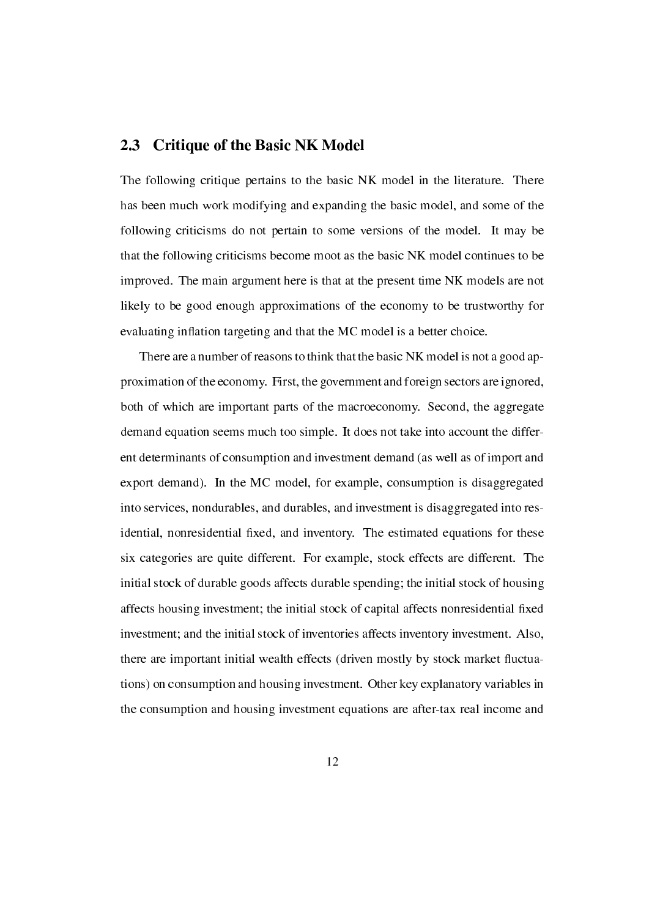#### 2.3 Critique of the Basic NK Model

The following critique pertains to the basic NK model in the literature. There has been much work modifying and expanding the basic model, and some of the following criticisms do not pertain to some versions of the model. It may be that the following criticisms become moot as the basic NK model continues to be improved. The main argument here is that at the present time NK models are not likely to be good enough approximations of the economy to be trustworthy for evaluating inflation targeting and that the MC model is a better choice.

There are a number of reasons to think that the basic NK model is not a good approximation of the economy. First, the government and foreign sectors are ignored, both of which are important parts of the macroeconomy. Second, the aggregate demand equation seems much too simple. It does not take into account the different determinants of consumption and investment demand (as well as of import and export demand). In the MC model, for example, consumption is disaggregated into services, nondurables, and durables, and investment is disaggregated into residential, nonresidential fixed, and inventory. The estimated equations for these six categories are quite different. For example, stock effects are different. The initial stock of durable goods affects durable spending; the initial stock of housing affects housing investment; the initial stock of capital affects nonresidential fixed investment; and the initial stock of inventories affects inventory investment. Also, there are important initial wealth effects (driven mostly by stock market fluctuations) on consumption and housing investment. Other key explanatory variables in the consumption and housing investment equations are after-tax real income and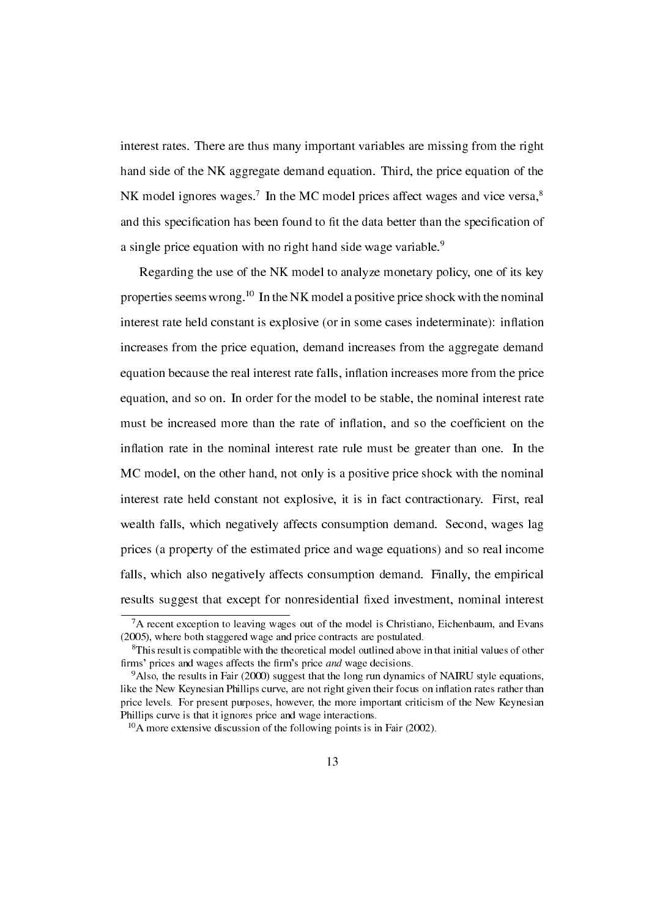interest rates. There are thus many important variables are missing from the right hand side of the NK aggregate demand equation. Third, the price equation of the NK model ignores wages.<sup>7</sup> In the MC model prices affect wages and vice versa,<sup>8</sup> and this specification has been found to fit the data better than the specification of a single price equation with no right hand side wage variable.<sup>9</sup>

Regarding the use of the NK model to analyze monetary policy, one of its key properties seems wrong.<sup>10</sup> In the NK model a positive price shock with the nominal interest rate held constant is explosive (or in some cases indeterminate): inflation increases from the price equation, demand increases from the aggregate demand equation because the real interest rate falls, inflation increases more from the price equation, and so on. In order for the model to be stable, the nominal interest rate must be increased more than the rate of inflation, and so the coefficient on the inflation rate in the nominal interest rate rule must be greater than one. In the MC model, on the other hand, not only is a positive price shock with the nominal interest rate held constant not explosive, it is in fact contractionary. First, real wealth falls, which negatively affects consumption demand. Second, wages lag prices (a property of the estimated price and wage equations) and so real income falls, which also negatively affects consumption demand. Finally, the empirical results suggest that except for nonresidential fixed investment, nominal interest

<sup>&</sup>lt;sup>7</sup>A recent exception to leaving wages out of the model is Christiano, Eichenbaum, and Evans (2005), where both staggered wage and price contracts are postulated.

<sup>&</sup>lt;sup>8</sup>This result is compatible with the theoretical model outlined above in that initial values of other firms' prices and wages affects the firm's price *and* wage decisions.

<sup>&</sup>lt;sup>9</sup>Also, the results in Fair (2000) suggest that the long run dynamics of NAIRU style equations, like the New Keynesian Phillips curve, are not right given their focus on inflation rates rather than price levels. For present purposes, however, the more important criticism of the New Keynesian Phillips curve is that it ignores price and wage interactions.

 $10<sub>A</sub>$  more extensive discussion of the following points is in Fair (2002).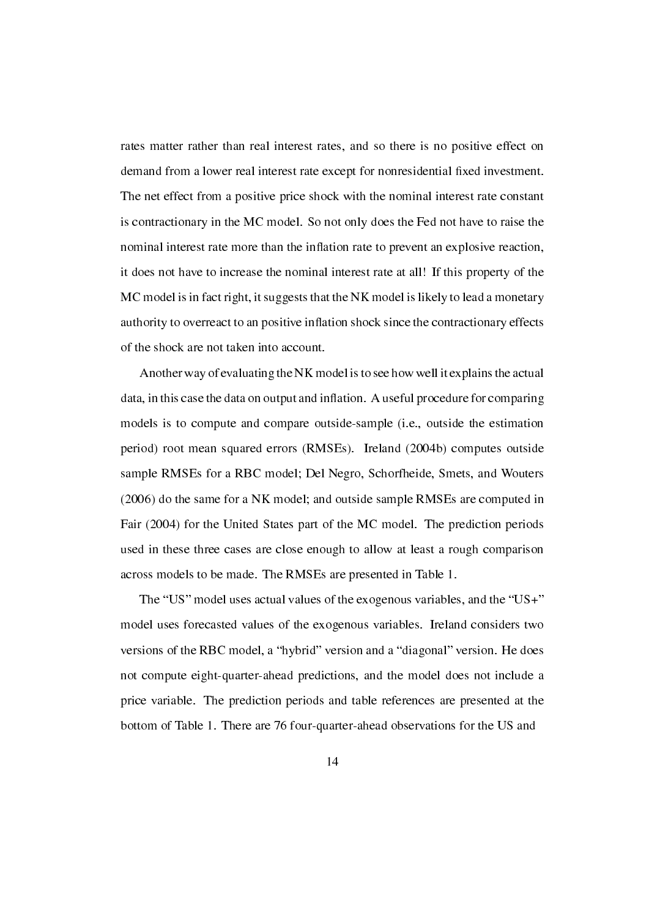rates matter rather than real interest rates, and so there is no positive effect on demand from a lower real interest rate except for nonresidential fixed investment. The net effect from a positive price shock with the nominal interest rate constant is contractionary in the MC model. So not only does the Fed not have to raise the nominal interest rate more than the inflation rate to prevent an explosive reaction, it does not have to increase the nominal interest rate at all! If this property of the MC model is in fact right, it suggests that the NK model is likely to lead a monetary authority to overreact to an positive inflation shock since the contractionary effects of the shock are not taken into account.

Another way of evaluating the NK model is to see how well it explains the actual data, in this case the data on output and inflation. A useful procedure for comparing models is to compute and compare outside-sample (i.e., outside the estimation period) root mean squared errors (RMSEs). Ireland (2004b) computes outside sample RMSEs for a RBC model; Del Negro, Schorfheide, Smets, and Wouters (2006) do the same for a NK model; and outside sample RMSEs are computed in Fair (2004) for the United States part of the MC model. The prediction periods used in these three cases are close enough to allow at least a rough comparison across models to be made. The RMSEs are presented in Table 1.

The "US" model uses actual values of the exogenous variables, and the "US+" model uses forecasted values of the exogenous variables. Ireland considers two versions of the RBC model, a "hybrid" version and a "diagonal" version. He does not compute eight-quarter-ahead predictions, and the model does not include a price variable. The prediction periods and table references are presented at the bottom of Table 1. There are 76 four-quarter-ahead observations for the US and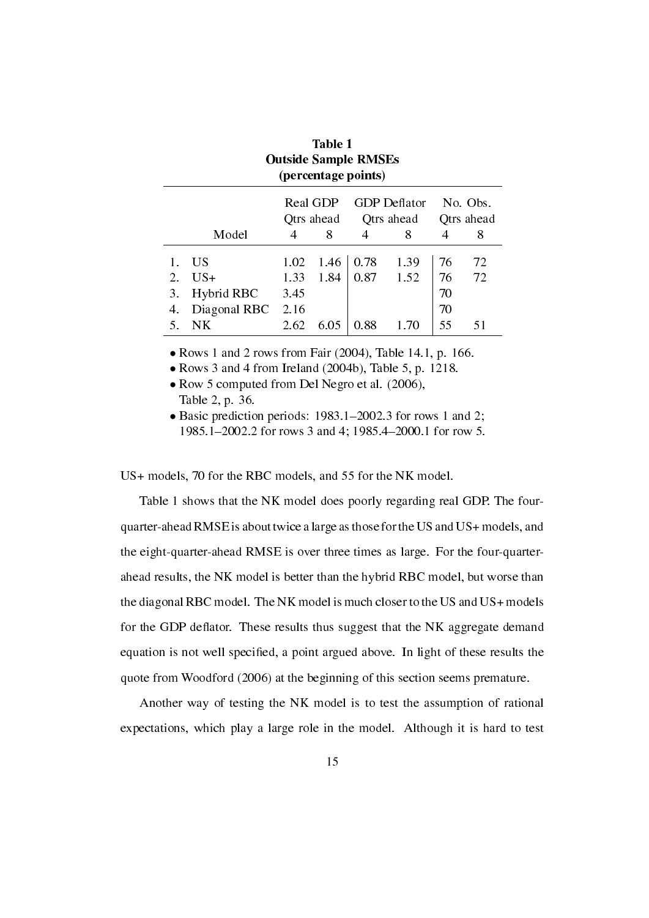|    | (percentage points) |            |      |            |                     |            |    |  |  |  |  |
|----|---------------------|------------|------|------------|---------------------|------------|----|--|--|--|--|
|    |                     | Real GDP   |      |            | <b>GDP</b> Deflator | No. Obs.   |    |  |  |  |  |
|    |                     | Qtrs ahead |      | Qtrs ahead |                     | Qtrs ahead |    |  |  |  |  |
|    | Model               |            | 8    | 4          | 8                   |            | 8  |  |  |  |  |
|    | US                  | 1.02       | 1.46 | 0.78       | 1.39                | 76         | 72 |  |  |  |  |
| 2. | $US+$               | 1.33       | 1.84 | 0.87       | 1.52                | 76         | 72 |  |  |  |  |
| 3. | Hybrid RBC          | 3.45       |      |            |                     | 70         |    |  |  |  |  |
| 4. | Diagonal RBC        | 2.16       |      |            |                     | 70         |    |  |  |  |  |
|    | NΚ                  | 2.62       | 6.05 | 0.88       |                     | 55         |    |  |  |  |  |

| Table 1                     |
|-----------------------------|
| <b>Outside Sample RMSEs</b> |
| (percentage points)         |

*•* Rows 1 and 2 rows from Fair (2004), Table 14.1, p. 166.

*•* Rows 3 and 4 from Ireland (2004b), Table 5, p. 1218.

• Row 5 computed from Del Negro et al. (2006), Table 2, p. 36.

• Basic prediction periods: 1983.1-2002.3 for rows 1 and 2; 1985.1–2002.2 for rows 3 and 4; 1985.4–2000.1 for row 5.

US+ models, 70 for the RBC models, and 55 for the NK model.

Table 1 shows that the NK model does poorly regarding real GDP. The fourquarter-ahead RMSE is about twice a large as those for the US and US+ models, and the eight-quarter-ahead RMSE is over three times as large. For the four-quarterahead results, the NK model is better than the hybrid RBC model, but worse than the diagonal RBC model. The NK model is much closer to the US and US+ models for the GDP deflator. These results thus suggest that the NK aggregate demand equation is not well specied, a point argued above. In light of these results the quote from Woodford (2006) at the beginning of this section seems premature.

Another way of testing the NK model is to test the assumption of rational expectations, which play a large role in the model. Although it is hard to test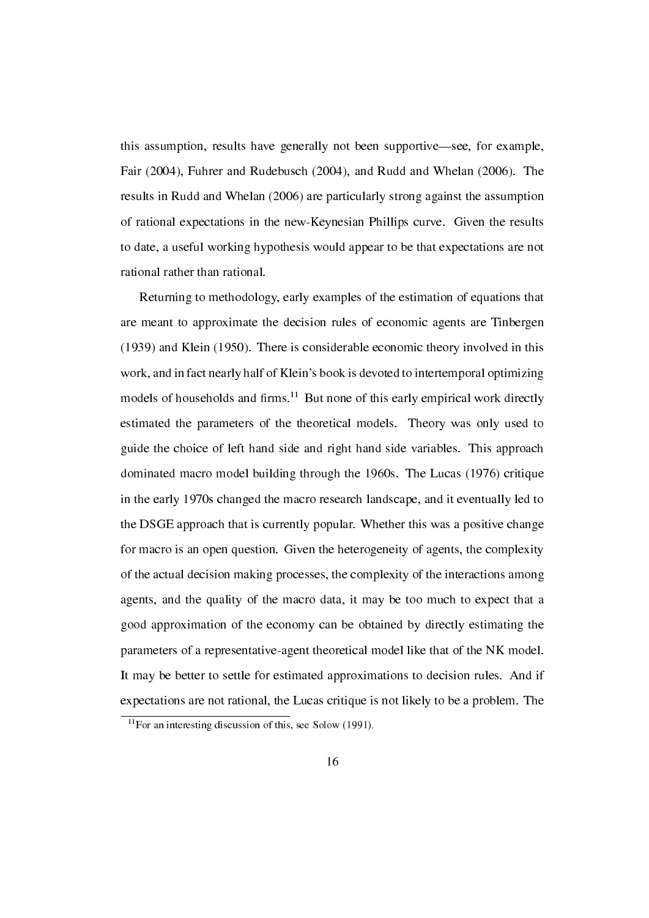this assumption, results have generally not been supportive—see, for example, Fair (2004), Fuhrer and Rudebusch (2004), and Rudd and Whelan (2006). The results in Rudd and Whelan (2006) are particularly strong against the assumption of rational expectations in the new-Keynesian Phillips curve. Given the results to date, a useful working hypothesis would appear to be that expectations are not rational rather than rational.

Returning to methodology, early examples of the estimation of equations that are meant to approximate the decision rules of economic agents are Tinbergen (1939) and Klein (1950). There is considerable economic theory involved in this work, and in fact nearly half of Klein's book is devoted to intertemporal optimizing models of households and firms.<sup>11</sup> But none of this early empirical work directly estimated the parameters of the theoretical models. Theory was only used to guide the choice of left hand side and right hand side variables. This approach dominated macro model building through the 1960s. The Lucas (1976) critique in the early 1970s changed the macro research landscape, and it eventually led to the DSGE approach that is currently popular. Whether this was a positive change for macro is an open question. Given the heterogeneity of agents, the complexity of the actual decision making processes, the complexity of the interactions among agents, and the quality of the macro data, it may be too much to expect that a good approximation of the economy can be obtained by directly estimating the parameters of a representative-agent theoretical model like that of the NK model. It may be better to settle for estimated approximations to decision rules. And if expectations are not rational, the Lucas critique is not likely to be a problem. The

 $11$ For an interesting discussion of this, see Solow (1991).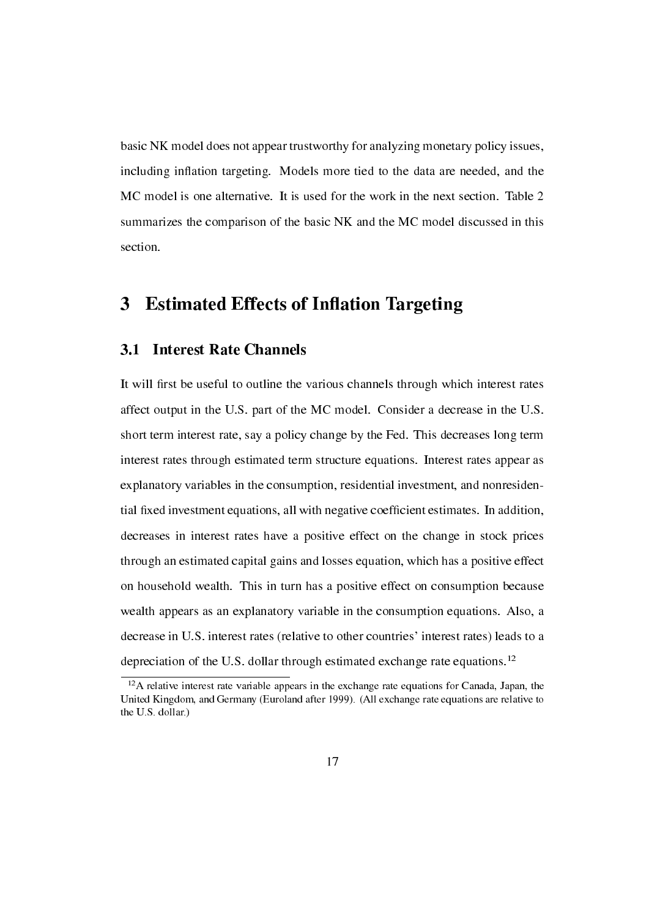basic NK model does not appear trustworthy for analyzing monetary policy issues, including inflation targeting. Models more tied to the data are needed, and the MC model is one alternative. It is used for the work in the next section. Table 2 summarizes the comparison of the basic NK and the MC model discussed in this section.

### 3 Estimated Effects of Inflation Targeting

#### 3.1 Interest Rate Channels

It will first be useful to outline the various channels through which interest rates affect output in the U.S. part of the MC model. Consider a decrease in the U.S. short term interest rate, say a policy change by the Fed. This decreases long term interest rates through estimated term structure equations. Interest rates appear as explanatory variables in the consumption, residential investment, and nonresidential fixed investment equations, all with negative coefficient estimates. In addition, decreases in interest rates have a positive effect on the change in stock prices through an estimated capital gains and losses equation, which has a positive effect on household wealth. This in turn has a positive effect on consumption because wealth appears as an explanatory variable in the consumption equations. Also, a decrease in U.S. interest rates (relative to other countries' interest rates) leads to a depreciation of the U.S. dollar through estimated exchange rate equations.<sup>12</sup>

 $12A$  relative interest rate variable appears in the exchange rate equations for Canada, Japan, the United Kingdom, and Germany (Euroland after 1999). (All exchange rate equations are relative to the U.S. dollar.)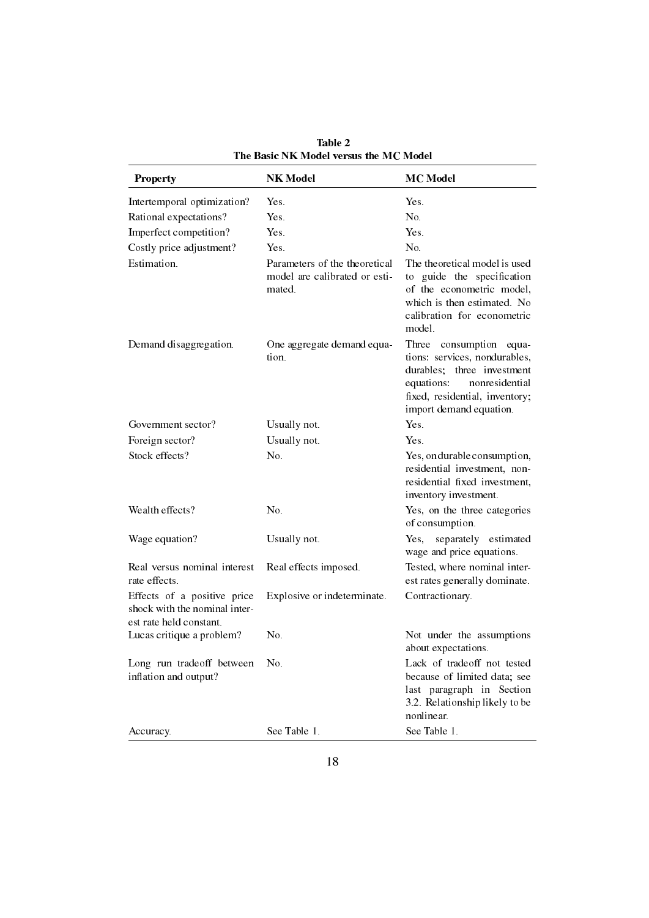| <b>Property</b>                                                                         | <b>NK Model</b>                                                          | <b>MC</b> Model                                                                                                                                                                           |
|-----------------------------------------------------------------------------------------|--------------------------------------------------------------------------|-------------------------------------------------------------------------------------------------------------------------------------------------------------------------------------------|
| Intertemporal optimization?                                                             | Yes.                                                                     | Yes.                                                                                                                                                                                      |
| Rational expectations?                                                                  | Yes.                                                                     | No.                                                                                                                                                                                       |
| Imperfect competition?                                                                  | <b>Yes</b>                                                               | Yes.                                                                                                                                                                                      |
| Costly price adjustment?                                                                | Yes.                                                                     | No.                                                                                                                                                                                       |
| Estimation.                                                                             | Parameters of the theoretical<br>model are calibrated or esti-<br>mated. | The theoretical model is used<br>guide the specification<br>to<br>of the econometric model,<br>which is then estimated. No<br>calibration for econometric<br>model.                       |
| Demand disaggregation.                                                                  | One aggregate demand equa-<br>tion.                                      | Three<br>consumption<br>equa-<br>tions: services, nondurables,<br>durables; three investment<br>equations:<br>nonresidential<br>fixed, residential, inventory;<br>import demand equation. |
| Government sector?                                                                      | Usually not.                                                             | Yes.                                                                                                                                                                                      |
| Foreign sector?                                                                         | Usually not.                                                             | Yes.                                                                                                                                                                                      |
| Stock effects?                                                                          | No.                                                                      | Yes, on durable consumption,<br>residential investment, non-<br>residential fixed investment,<br>inventory investment.                                                                    |
| Wealth effects?                                                                         | No.                                                                      | Yes, on the three categories<br>of consumption.                                                                                                                                           |
| Wage equation?                                                                          | Usually not.                                                             | separately estimated<br>Yes,<br>wage and price equations.                                                                                                                                 |
| Real versus nominal interest<br>rate effects.                                           | Real effects imposed.                                                    | Tested, where nominal inter-<br>est rates generally dominate.                                                                                                                             |
| Effects of a positive price<br>shock with the nominal inter-<br>est rate held constant. | Explosive or indeterminate.                                              | Contractionary.                                                                                                                                                                           |
| Lucas critique a problem?                                                               | No.                                                                      | Not under the assumptions<br>about expectations.                                                                                                                                          |
| Long run tradeoff between<br>inflation and output?                                      | No.                                                                      | Lack of tradeoff not tested<br>because of limited data; see<br>last paragraph in Section<br>3.2. Relationship likely to be<br>nonlinear.                                                  |
| Accuracy.                                                                               | See Table 1.                                                             | See Table 1.                                                                                                                                                                              |

Table 2 The Basic NK Model versus the MC Model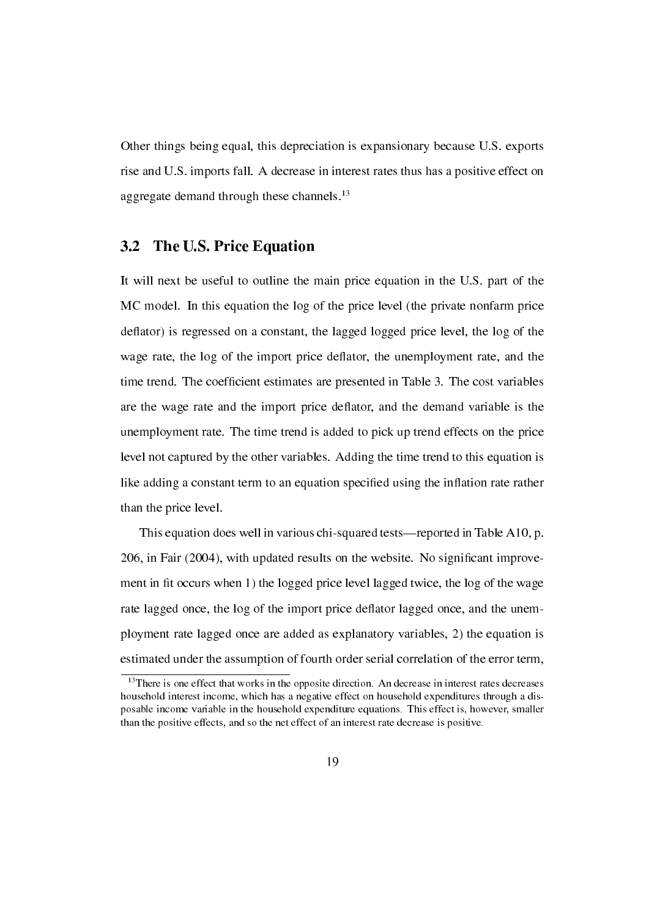Other things being equal, this depreciation is expansionary because U.S. exports rise and U.S. imports fall. A decrease in interest rates thus has a positive effect on aggregate demand through these channels.<sup>13</sup>

### 3.2 The U.S. Price Equation

It will next be useful to outline the main price equation in the U.S. part of the MC model. In this equation the log of the price level (the private nonfarm price deflator) is regressed on a constant, the lagged logged price level, the log of the wage rate, the log of the import price deflator, the unemployment rate, and the time trend. The coefficient estimates are presented in Table 3. The cost variables are the wage rate and the import price deflator, and the demand variable is the unemployment rate. The time trend is added to pick up trend effects on the price level not captured by the other variables. Adding the time trend to this equation is like adding a constant term to an equation specified using the inflation rate rather than the price level.

This equation does well in various chi-squared tests—reported in Table A10, p. 206, in Fair (2004), with updated results on the website. No signicant improvement in fit occurs when 1) the logged price level lagged twice, the log of the wage rate lagged once, the log of the import price deflator lagged once, and the unemployment rate lagged once are added as explanatory variables, 2) the equation is estimated under the assumption of fourth order serial correlation of the error term,

 $13$ There is one effect that works in the opposite direction. An decrease in interest rates decreases household interest income, which has a negative effect on household expenditures through a disposable income variable in the household expenditure equations. This effect is, however, smaller than the positive effects, and so the net effect of an interest rate decrease is positive.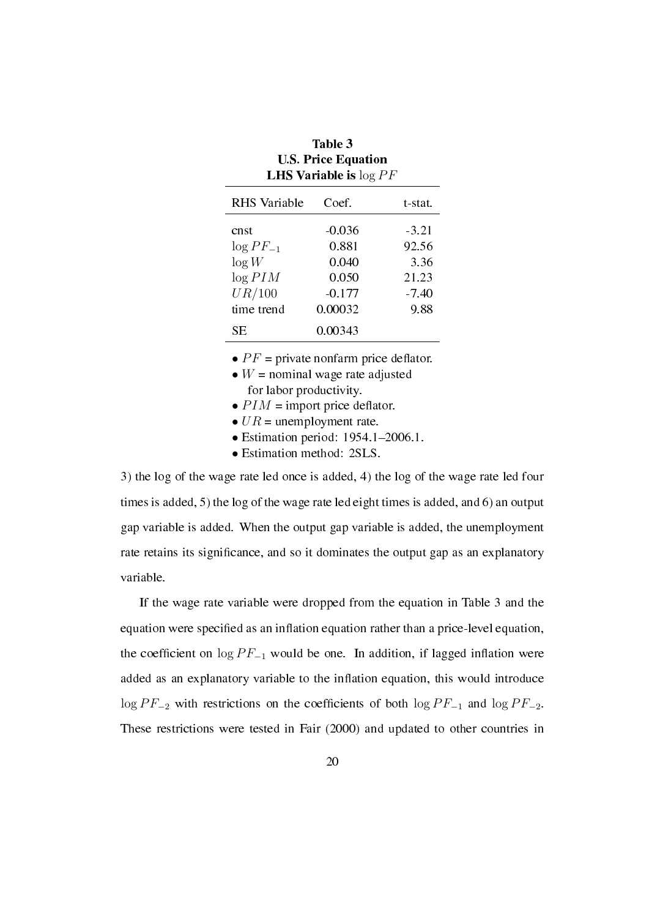| $\mathbf{L}$ H <sub>2</sub> variable to $\log T$ |          |         |  |  |  |  |  |
|--------------------------------------------------|----------|---------|--|--|--|--|--|
| <b>RHS</b> Variable                              | Coef.    | t-stat. |  |  |  |  |  |
| cnst                                             | $-0.036$ | $-3.21$ |  |  |  |  |  |
| $\log PF_{-1}$                                   | 0.881    | 92.56   |  |  |  |  |  |
| log W                                            | 0.040    | 3.36    |  |  |  |  |  |
| $\log PIM$                                       | 0.050    | 21.23   |  |  |  |  |  |
| UR/100                                           | $-0.177$ | -7.40   |  |  |  |  |  |
| time trend                                       | 0.00032  | 9.88    |  |  |  |  |  |
| SЕ                                               | 0.00343  |         |  |  |  |  |  |

Table 3 U.S. Price Equation LHS Variable is log *P F*

•  $PF$  = private nonfarm price deflator.

• *W* = nominal wage rate adjusted for labor productivity.

•  $PIM$  = import price deflator.

•  $UR =$  unemployment rate.

• Estimation period: 1954.1-2006.1.

*•* Estimation method: 2SLS.

3) the log of the wage rate led once is added, 4) the log of the wage rate led four times is added, 5) the log of the wage rate led eight times is added, and 6) an output gap variable is added. When the output gap variable is added, the unemployment rate retains its signicance, and so it dominates the output gap as an explanatory variable.

If the wage rate variable were dropped from the equation in Table 3 and the equation were specified as an inflation equation rather than a price-level equation, the coefficient on  $\log PF_{-1}$  would be one. In addition, if lagged inflation were added as an explanatory variable to the inflation equation, this would introduce  $\log PF_{-2}$  with restrictions on the coefficients of both  $\log PF_{-1}$  and  $\log PF_{-2}$ . These restrictions were tested in Fair (2000) and updated to other countries in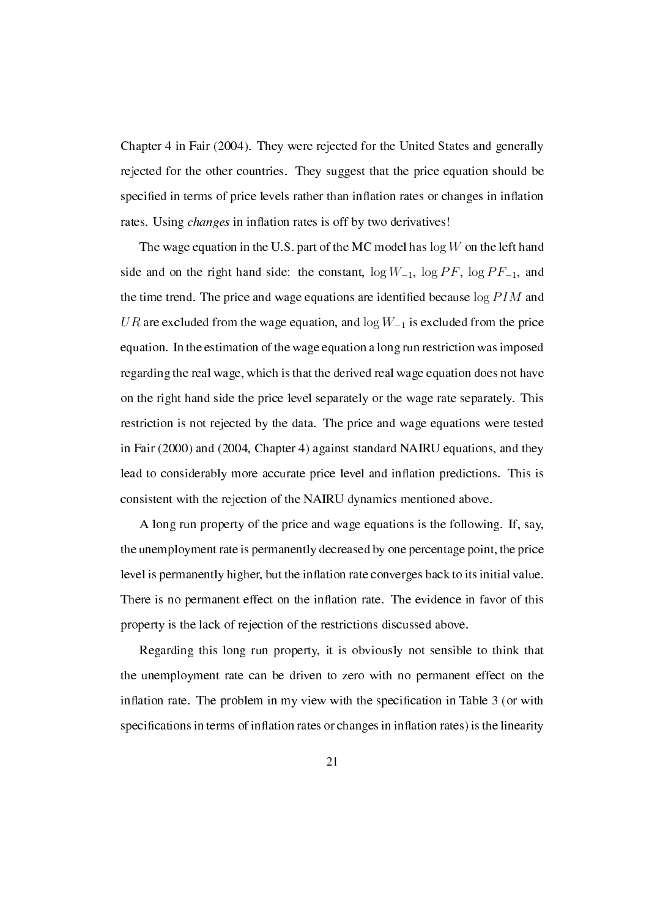Chapter 4 in Fair (2004). They were rejected for the United States and generally rejected for the other countries. They suggest that the price equation should be specified in terms of price levels rather than inflation rates or changes in inflation rates. Using *changes* in inflation rates is off by two derivatives!

The wage equation in the U.S. part of the MC model has log *W* on the left hand side and on the right hand side: the constant, log *W−*<sup>1</sup>, log *P F*, log *P F−*<sup>1</sup>, and the time trend. The price and wage equations are identied because log *P IM* and *UR* are excluded from the wage equation, and log *W−*<sup>1</sup> is excluded from the price equation. In the estimation of the wage equation a long run restriction was imposed regarding the real wage, which is that the derived real wage equation does not have on the right hand side the price level separately or the wage rate separately. This restriction is not rejected by the data. The price and wage equations were tested in Fair (2000) and (2004, Chapter 4) against standard NAIRU equations, and they lead to considerably more accurate price level and inflation predictions. This is consistent with the rejection of the NAIRU dynamics mentioned above.

A long run property of the price and wage equations is the following. If, say, the unemployment rate is permanently decreased by one percentage point, the price level is permanently higher, but the inflation rate converges back to its initial value. There is no permanent effect on the inflation rate. The evidence in favor of this property is the lack of rejection of the restrictions discussed above.

Regarding this long run property, it is obviously not sensible to think that the unemployment rate can be driven to zero with no permanent effect on the inflation rate. The problem in my view with the specification in Table  $3$  (or with specifications in terms of inflation rates or changes in inflation rates) is the linearity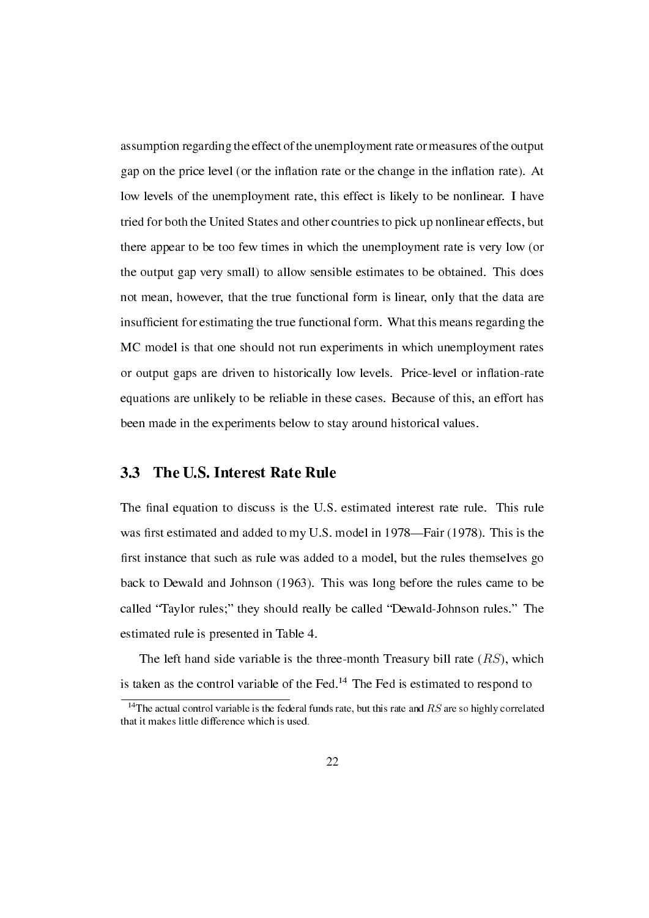assumption regarding the effect of the unemployment rate or measures of the output gap on the price level (or the inflation rate or the change in the inflation rate). At low levels of the unemployment rate, this effect is likely to be nonlinear. I have tried for both the United States and other countries to pick up nonlinear effects, but there appear to be too few times in which the unemployment rate is very low (or the output gap very small) to allow sensible estimates to be obtained. This does not mean, however, that the true functional form is linear, only that the data are insufficient for estimating the true functional form. What this means regarding the MC model is that one should not run experiments in which unemployment rates or output gaps are driven to historically low levels. Price-level or inflation-rate equations are unlikely to be reliable in these cases. Because of this, an effort has been made in the experiments below to stay around historical values.

### 3.3 The U.S. Interest Rate Rule

The final equation to discuss is the U.S. estimated interest rate rule. This rule was first estimated and added to my U.S. model in 1978—Fair (1978). This is the first instance that such as rule was added to a model, but the rules themselves go back to Dewald and Johnson (1963). This was long before the rules came to be called "Taylor rules;" they should really be called "Dewald-Johnson rules." The estimated rule is presented in Table 4.

The left hand side variable is the three-month Treasury bill rate (*RS*), which is taken as the control variable of the Fed. $14$  The Fed is estimated to respond to

<sup>14</sup>The actual control variable is the federal funds rate, but this rate and *RS* are so highly correlated that it makes little difference which is used.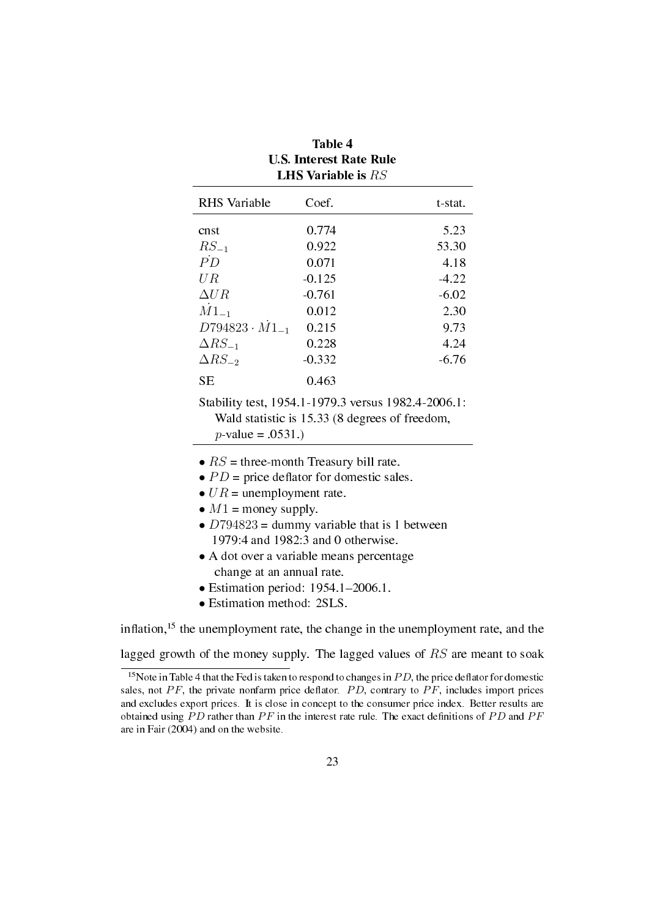| Coef.    | t-stat. |
|----------|---------|
| 0.774    | 5.23    |
| 0.922    | 53.30   |
| 0.071    | 4.18    |
| $-0.125$ | $-4.22$ |
| $-0.761$ | $-6.02$ |
| 0.012    | 2.30    |
| 0.215    | 9.73    |
| 0.228    | 4.24    |
| $-0.332$ | $-6.76$ |
| 0.463    |         |
|          |         |

| Table 4                        |  |  |  |  |  |
|--------------------------------|--|--|--|--|--|
| <b>U.S. Interest Rate Rule</b> |  |  |  |  |  |
| <b>LHS Variable is </b> $RS$   |  |  |  |  |  |

Stability test, 1954.1-1979.3 versus 1982.4-2006.1: Wald statistic is 15.33 (8 degrees of freedom, *p*-value = .0531.)

- $RS =$  three-month Treasury bill rate.
- $PD$  = price deflator for domestic sales.
- $UR =$  unemployment rate.
- $M1$  = money supply.
- *D*794823 = dummy variable that is 1 between 1979:4 and 1982:3 and 0 otherwise.
- *•* A dot over a variable means percentage change at an annual rate.
- Estimation period: 1954.1-2006.1.
- *•* Estimation method: 2SLS.

inflation,<sup>15</sup> the unemployment rate, the change in the unemployment rate, and the

lagged growth of the money supply. The lagged values of *RS* are meant to soak

<sup>&</sup>lt;sup>15</sup>Note in Table 4 that the Fed is taken to respond to changes in  $PD$ , the price deflator for domestic sales, not  $PF$ , the private nonfarm price deflator.  $PD$ , contrary to  $PF$ , includes import prices and excludes export prices. It is close in concept to the consumer price index. Better results are obtained using *P D* rather than *P F* in the interest rate rule. The exact denitions of *P D* and *P F* are in Fair (2004) and on the website.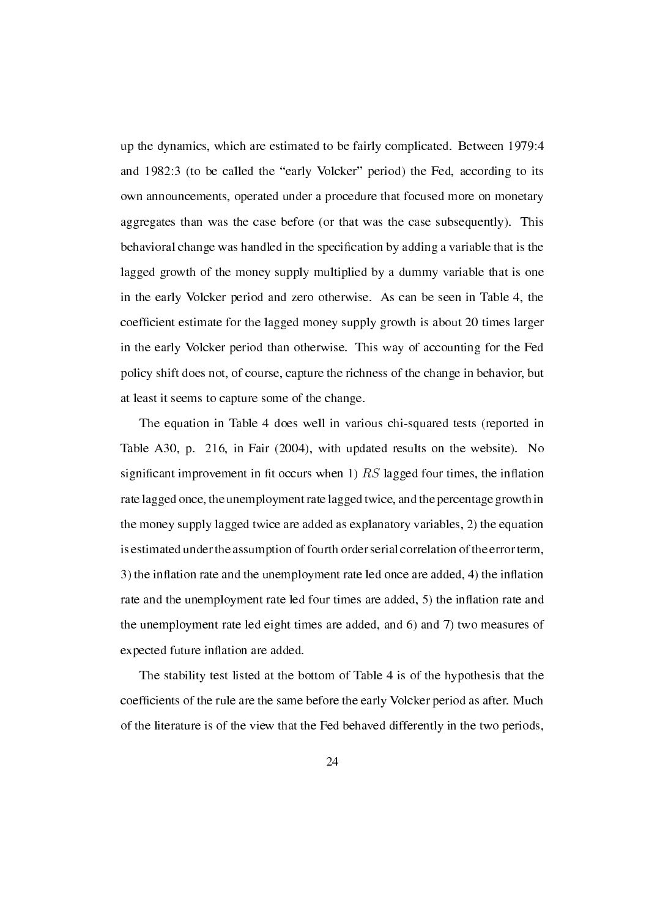up the dynamics, which are estimated to be fairly complicated. Between 1979:4 and 1982:3 (to be called the "early Volcker" period) the Fed, according to its own announcements, operated under a procedure that focused more on monetary aggregates than was the case before (or that was the case subsequently). This behavioral change was handled in the specication by adding a variable that is the lagged growth of the money supply multiplied by a dummy variable that is one in the early Volcker period and zero otherwise. As can be seen in Table 4, the coefficient estimate for the lagged money supply growth is about 20 times larger in the early Volcker period than otherwise. This way of accounting for the Fed policy shift does not, of course, capture the richness of the change in behavior, but at least it seems to capture some of the change.

The equation in Table 4 does well in various chi-squared tests (reported in Table A30, p. 216, in Fair (2004), with updated results on the website). No significant improvement in fit occurs when  $(1)$  *RS* lagged four times, the inflation rate lagged once, the unemployment rate lagged twice, and the percentage growth in the money supply lagged twice are added as explanatory variables, 2) the equation is estimated under the assumption of fourth order serial correlation of the error term, 3) the inflation rate and the unemployment rate led once are added, 4) the inflation rate and the unemployment rate led four times are added, 5) the inflation rate and the unemployment rate led eight times are added, and 6) and 7) two measures of expected future inflation are added.

The stability test listed at the bottom of Table 4 is of the hypothesis that the coefficients of the rule are the same before the early Volcker period as after. Much of the literature is of the view that the Fed behaved differently in the two periods,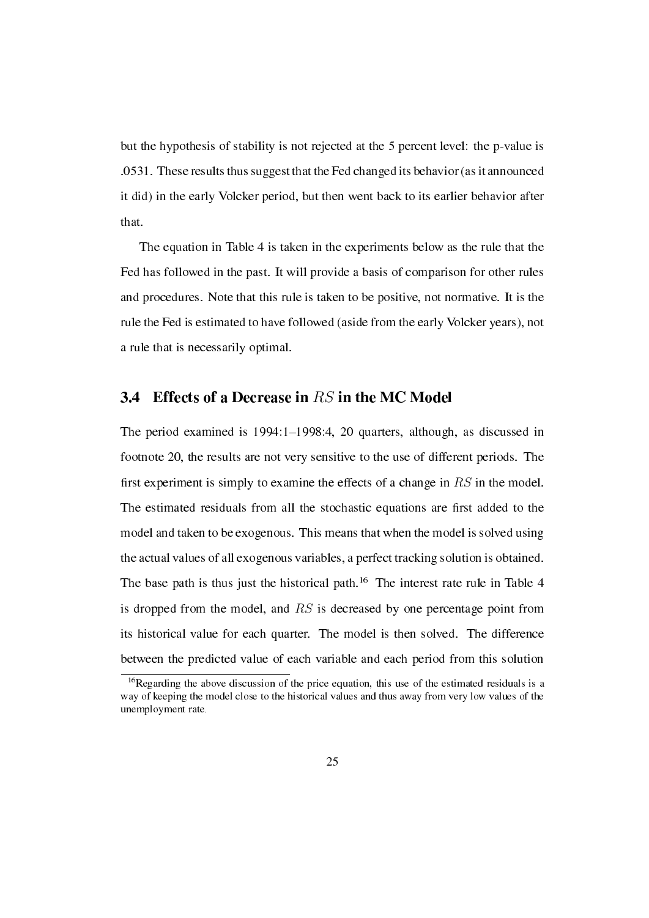but the hypothesis of stability is not rejected at the 5 percent level: the p-value is .0531. These results thus suggest that the Fed changed its behavior (as it announced it did) in the early Volcker period, but then went back to its earlier behavior after that.

The equation in Table 4 is taken in the experiments below as the rule that the Fed has followed in the past. It will provide a basis of comparison for other rules and procedures. Note that this rule is taken to be positive, not normative. It is the rule the Fed is estimated to have followed (aside from the early Volcker years), not a rule that is necessarily optimal.

### 3.4 Effects of a Decrease in *RS* in the MC Model

The period examined is 1994:1-1998:4, 20 quarters, although, as discussed in footnote 20, the results are not very sensitive to the use of different periods. The first experiment is simply to examine the effects of a change in  $RS$  in the model. The estimated residuals from all the stochastic equations are first added to the model and taken to be exogenous. This means that when the model is solved using the actual values of all exogenous variables, a perfect tracking solution is obtained. The base path is thus just the historical path.<sup>16</sup> The interest rate rule in Table 4 is dropped from the model, and *RS* is decreased by one percentage point from its historical value for each quarter. The model is then solved. The difference between the predicted value of each variable and each period from this solution

<sup>&</sup>lt;sup>16</sup>Regarding the above discussion of the price equation, this use of the estimated residuals is a way of keeping the model close to the historical values and thus away from very low values of the unemployment rate.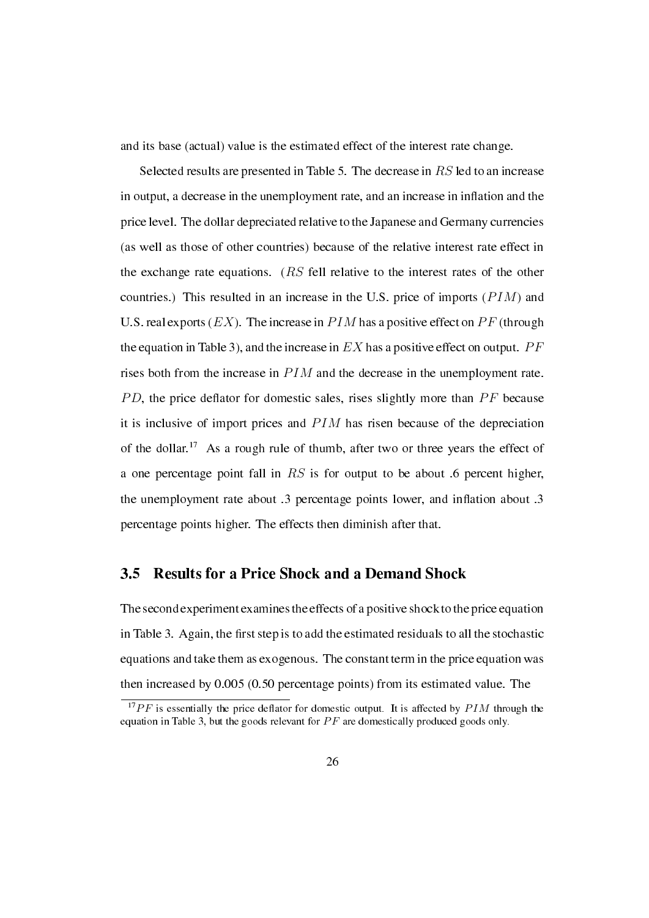and its base (actual) value is the estimated effect of the interest rate change.

Selected results are presented in Table 5. The decrease in *RS* led to an increase in output, a decrease in the unemployment rate, and an increase in inflation and the price level. The dollar depreciated relative to the Japanese and Germany currencies (as well as those of other countries) because of the relative interest rate effect in the exchange rate equations. (*RS* fell relative to the interest rates of the other countries.) This resulted in an increase in the U.S. price of imports (*P IM*) and U.S. real exports  $(EX)$ . The increase in  $PIM$  has a positive effect on  $PF$  (through the equation in Table 3), and the increase in *EX* has a positive effect on output. *P F* rises both from the increase in *P IM* and the decrease in the unemployment rate. *PD*, the price deflator for domestic sales, rises slightly more than *PF* because it is inclusive of import prices and *PIM* has risen because of the depreciation of the dollar.<sup>17</sup> As a rough rule of thumb, after two or three years the effect of a one percentage point fall in *RS* is for output to be about .6 percent higher, the unemployment rate about  $.3$  percentage points lower, and inflation about  $.3$ percentage points higher. The effects then diminish after that.

### 3.5 Results for a Price Shock and a Demand Shock

The second experiment examines the effects of a positive shock to the price equation in Table 3. Again, the first step is to add the estimated residuals to all the stochastic equations and take them as exogenous. The constant term in the price equation was then increased by 0.005 (0.50 percentage points) from its estimated value. The

 $17$ *PF* is essentially the price deflator for domestic output. It is affected by *PIM* through the equation in Table 3, but the goods relevant for PF are domestically produced goods only.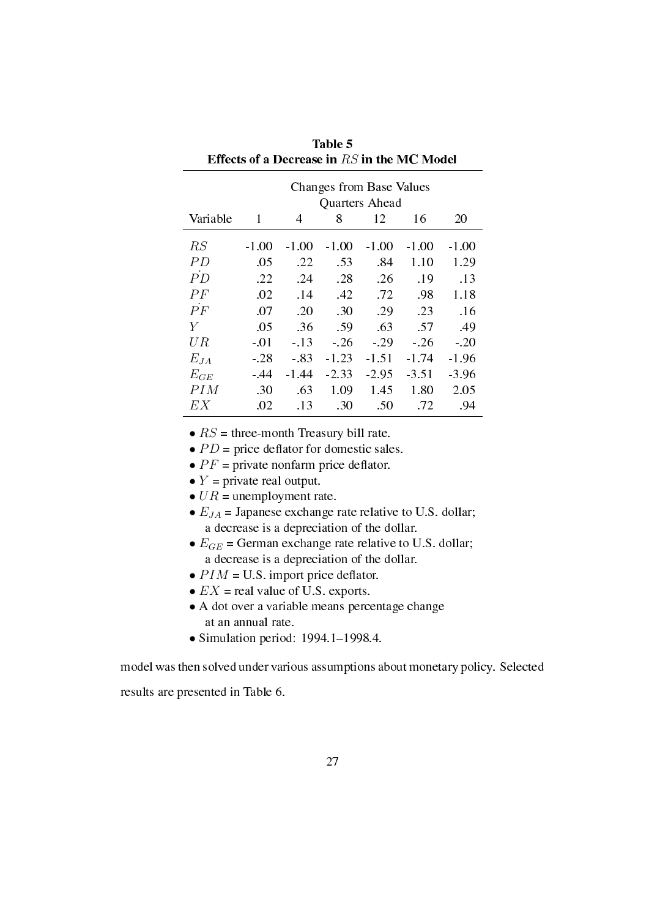|                 | <b>Changes from Base Values</b> |                    |         |         |         |         |  |  |  |  |
|-----------------|---------------------------------|--------------------|---------|---------|---------|---------|--|--|--|--|
|                 | Quarters Ahead                  |                    |         |         |         |         |  |  |  |  |
| Variable        | 1                               | 8<br>12<br>16<br>4 |         |         |         |         |  |  |  |  |
| RS              | $-1.00$                         | $-1.00$            | $-1.00$ | $-1.00$ | $-1.00$ | $-1.00$ |  |  |  |  |
| PD.             | .05                             | .22                | .53     | .84     | 1.10    | 1.29    |  |  |  |  |
| $\overline{PD}$ | .22                             | .24                | .28     | .26     | .19     | .13     |  |  |  |  |
| PF              | .02                             | . 14               | .42     | .72     | .98     | 1.18    |  |  |  |  |
| $\dot{P}F$      | .07                             | .20                | .30     | .29     | .23     | .16     |  |  |  |  |
| Y               | .05                             | .36                | .59     | .63     | .57     | .49     |  |  |  |  |
| UR              | $-.01$                          | $-.13$             | $-26$   | $-.29$  | $-.26$  | $-.20$  |  |  |  |  |
| $E_{JA}$        | $-.28$                          | $-.83$             | $-1.23$ | $-1.51$ | -1.74   | $-1.96$ |  |  |  |  |
| $E_{GE}$        | $-44$                           | $-1.44$            | $-2.33$ | $-2.95$ | $-3.51$ | $-3.96$ |  |  |  |  |
| PI M            | .30                             | .63                | 1.09    | 1.45    | 1.80    | 2.05    |  |  |  |  |
| EX              | .02                             | .13                | .30     | .50     | .72     | .94     |  |  |  |  |

Table 5 Effects of a Decrease in *RS* in the MC Model

•  $RS =$  three-month Treasury bill rate.

•  $PD$  = price deflator for domestic sales.

•  $PF$  = private nonfarm price deflator.

•  $Y =$  private real output.

•  $UR =$  unemployment rate.

•  $E_{JA}$  = Japanese exchange rate relative to U.S. dollar; a decrease is a depreciation of the dollar.

- $E_{GE}$  = German exchange rate relative to U.S. dollar; a decrease is a depreciation of the dollar.
- $PIM = U.S.$  import price deflator.
- $EX = \text{real value of U.S. exports.}$
- *•* A dot over a variable means percentage change at an annual rate.
- Simulation period: 1994.1-1998.4.

model was then solved under various assumptions about monetary policy. Selected

results are presented in Table 6.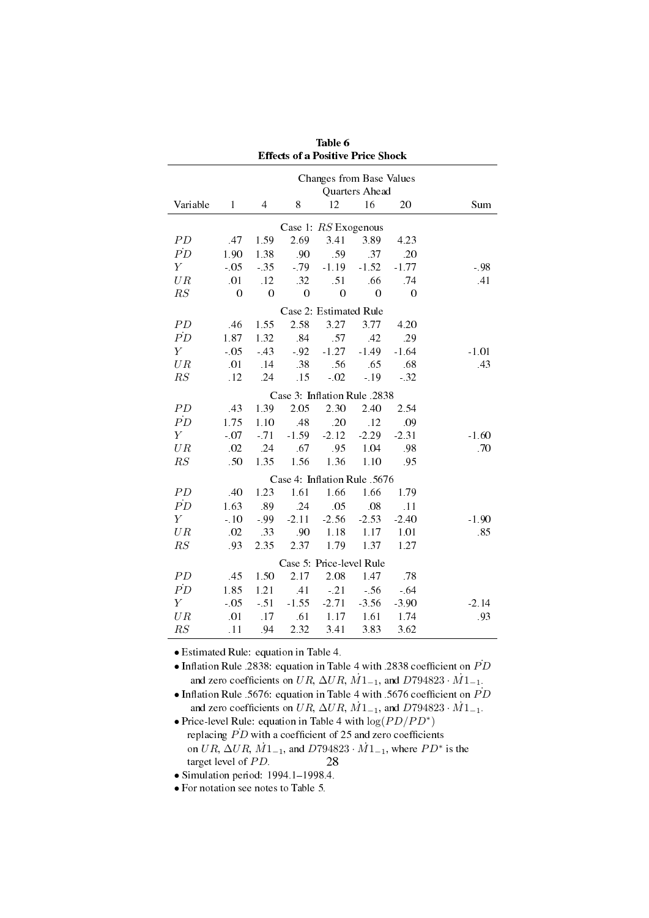| <b>Effects of a Positive Price Shock</b> |                  |                |                  |                              |                |                  |         |  |  |  |
|------------------------------------------|------------------|----------------|------------------|------------------------------|----------------|------------------|---------|--|--|--|
|                                          |                  |                |                  | Changes from Base Values     |                |                  |         |  |  |  |
| Quarters Ahead                           |                  |                |                  |                              |                |                  |         |  |  |  |
| Variable                                 | $\mathbf{1}$     | 4              | 8                | 12                           | 16             | 20               | Sum     |  |  |  |
| Case 1: RS Exogenous                     |                  |                |                  |                              |                |                  |         |  |  |  |
| ${\cal P}{\cal D}$                       | 47               | 1.59           | 2.69             | 3.41                         | 3.89           | 4.23             |         |  |  |  |
| $\dot{PD}$                               | 1.90             | 1.38           | .90              | .59                          | .37            | .20              |         |  |  |  |
| $\boldsymbol{Y}$                         | $-0.5$           | $-35$          | $-79$            | $-1.19$                      | $-1.52$        | $-1.77$          | - 98    |  |  |  |
| UR                                       | .01              | .12            | .32              | .51                          | .66            | .74              | .41     |  |  |  |
| RS                                       | $\boldsymbol{0}$ | $\overline{0}$ | $\boldsymbol{0}$ | $\boldsymbol{0}$             | $\overline{0}$ | $\boldsymbol{0}$ |         |  |  |  |
|                                          |                  |                |                  | Case 2: Estimated Rule       |                |                  |         |  |  |  |
| PD                                       | .46              | 1.55           | 2.58             | 3.27                         | 3.77           | 4.20             |         |  |  |  |
| $\dot{PD}$                               | 1.87             | 1.32           | .84              | .57                          | .42            | .29              |         |  |  |  |
| $\boldsymbol{Y}$                         | $-0.5$           | $-43$          | $-92$            | $-1.27$                      | $-1.49$        | $-1.64$          | $-1.01$ |  |  |  |
| UR                                       | .01              | .14            | 38               | .56                          | .65            | .68              | 43      |  |  |  |
| RS                                       | .12              | .24            | .15              | $-0.02$                      | $-19$          | $-32$            |         |  |  |  |
|                                          |                  |                |                  | Case 3: Inflation Rule .2838 |                |                  |         |  |  |  |
| PD                                       | 43               | 1.39           | 2.05             | 2.30                         | 2.40           | 2.54             |         |  |  |  |
| $\dot{PD}$                               | 1.75             | 1.10           | .48              | .20                          | .12            | .09              |         |  |  |  |
| $\boldsymbol{Y}$                         | $-07$            | $-71$          | $-1.59$          | $-2.12$                      | $-2.29$        | $-2.31$          | $-1.60$ |  |  |  |
| UR                                       | .02              | .24            | .67              | .95                          | 1.04           | .98              | .70     |  |  |  |
| RS                                       | .50              | 1.35           | 1.56             | 1.36                         | 1.10           | .95              |         |  |  |  |
|                                          |                  |                |                  | Case 4: Inflation Rule .5676 |                |                  |         |  |  |  |
| PD                                       | 40               | 1.23           | 1.61             | 1.66                         | 1.66           | 1.79             |         |  |  |  |
| $\dot{PD}$                               | 1.63             | .89            | .24              | .05                          | .08            | .11              |         |  |  |  |
| $\boldsymbol{Y}$                         | $-.10$           | -.99           | $-2.11$          | $-2.56$                      | $-2.53$        | $-2.40$          | $-1.90$ |  |  |  |
| UR                                       | .02              | 33             | .90              | 1.18                         | 1.17           | 1.01             | .85     |  |  |  |
| RS                                       | .93              | 2.35           | 2.37             | 1.79                         | 1.37           | 1.27             |         |  |  |  |
|                                          |                  |                |                  | Case 5: Price-level Rule     |                |                  |         |  |  |  |
| PD                                       | 45               | 1.50           | 2.17             | 2.08                         | 1.47           | .78              |         |  |  |  |
| $\dot{PD}$                               | 1.85             | 1.21           | .41              | $-21$                        | $-56$          | $-64$            |         |  |  |  |
| $\boldsymbol{Y}$                         | $-05$            | $-51$          | $-1.55$          | $-2.71$                      | $-3.56$        | $-3.90$          | $-2.14$ |  |  |  |
| UR                                       | .01              | .17            | .61              | 1.17                         | 1.61           | 1.74             | .93     |  |  |  |
| RS                                       | .11              | .94            | 2.32             | 3.41                         | 3.83           | 3.62             |         |  |  |  |

Table 6

*•* Estimated Rule: equation in Table 4.

• Inflation Rule .2838: equation in Table 4 with .2838 coefficient on  $\dot{PD}$ and zero coefficients on *UR*,  $\Delta UR$ ,  $\dot{M}1_{-1}$ , and  $D794823 \cdot \dot{M}1_{-1}$ .

• Inflation Rule .5676: equation in Table 4 with .5676 coefficient on  $\dot{PD}$ and zero coefficients on *UR*,  $\Delta UR$ ,  $\dot{M}1_{-1}$ , and  $D794823 \cdot \dot{M}1_{-1}$ .

*•* Price-level Rule: equation in Table 4 with log(*P D/P D<sup>∗</sup>* ) replacing  $\overrightarrow{PD}$  with a coefficient of 25 and zero coefficients on  $UR$ ,  $\Delta UR$ ,  $\dot{M}1_{-1}$ , and  $D794823 \cdot \dot{M}1_{-1}$ , where  $PD^*$  is the target level of *PD*. 28

 $\bullet$  Simulation period: 1994.1-1998.4.

*•* For notation see notes to Table 5.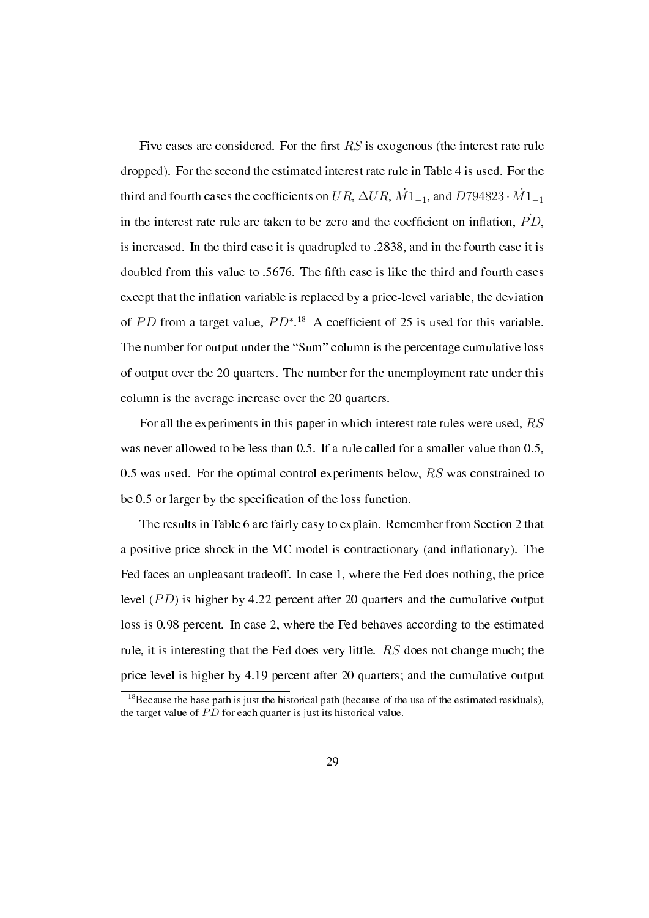Five cases are considered. For the first  $RS$  is exogenous (the interest rate rule dropped). For the second the estimated interest rate rule in Table 4 is used. For the third and fourth cases the coefficients on  $UR$ ,  $\Delta UR$ ,  $\dot{M}1_{-1}$ , and  $D794823 \cdot \dot{M}1_{-1}$ in the interest rate rule are taken to be zero and the coefficient on inflation,  $\dot{PD}$ , is increased. In the third case it is quadrupled to .2838, and in the fourth case it is doubled from this value to .5676. The fth case is like the third and fourth cases except that the inflation variable is replaced by a price-level variable, the deviation of PD from a target value,  $PD^*$ <sup>18</sup> A coefficient of 25 is used for this variable. The number for output under the "Sum" column is the percentage cumulative loss of output over the 20 quarters. The number for the unemployment rate under this column is the average increase over the 20 quarters.

For all the experiments in this paper in which interest rate rules were used, *RS* was never allowed to be less than 0.5. If a rule called for a smaller value than 0.5, 0.5 was used. For the optimal control experiments below, *RS* was constrained to be 0.5 or larger by the specification of the loss function.

The results in Table 6 are fairly easy to explain. Remember from Section 2 that a positive price shock in the MC model is contractionary (and inflationary). The Fed faces an unpleasant tradeoff. In case 1, where the Fed does nothing, the price level (*PD*) is higher by 4.22 percent after 20 quarters and the cumulative output loss is 0.98 percent. In case 2, where the Fed behaves according to the estimated rule, it is interesting that the Fed does very little. *RS* does not change much; the price level is higher by 4.19 percent after 20 quarters; and the cumulative output

 $18$ Because the base path is just the historical path (because of the use of the estimated residuals), the target value of PD for each quarter is just its historical value.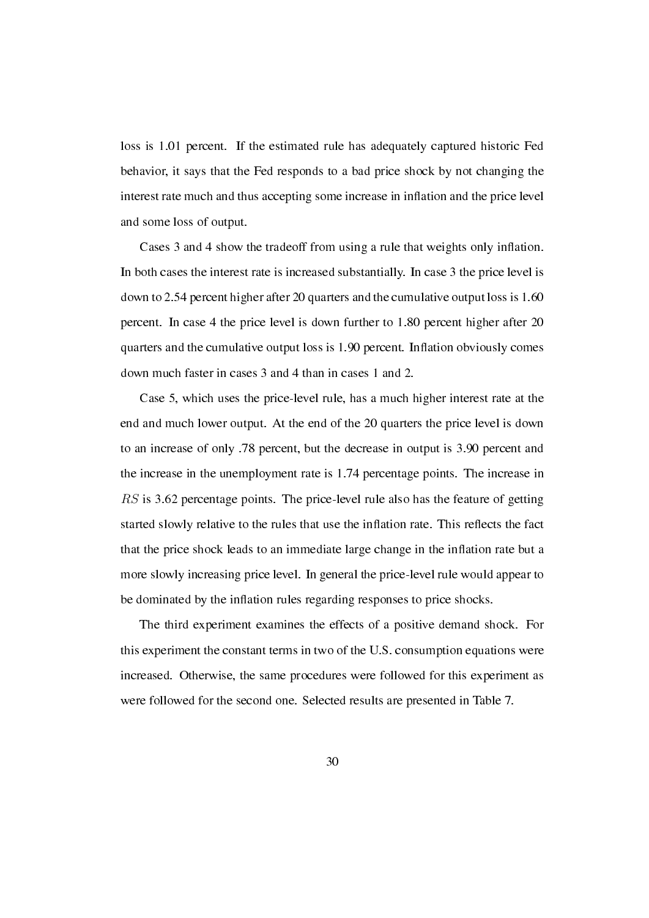loss is 1.01 percent. If the estimated rule has adequately captured historic Fed behavior, it says that the Fed responds to a bad price shock by not changing the interest rate much and thus accepting some increase in inflation and the price level and some loss of output.

Cases 3 and 4 show the tradeoff from using a rule that weights only inflation. In both cases the interest rate is increased substantially. In case 3 the price level is down to 2.54 percent higher after 20 quarters and the cumulative output loss is 1.60 percent. In case 4 the price level is down further to 1.80 percent higher after 20 quarters and the cumulative output loss is 1.90 percent. Inflation obviously comes down much faster in cases 3 and 4 than in cases 1 and 2.

Case 5, which uses the price-level rule, has a much higher interest rate at the end and much lower output. At the end of the 20 quarters the price level is down to an increase of only .78 percent, but the decrease in output is 3.90 percent and the increase in the unemployment rate is 1.74 percentage points. The increase in *RS* is 3.62 percentage points. The price-level rule also has the feature of getting started slowly relative to the rules that use the inflation rate. This reflects the fact that the price shock leads to an immediate large change in the inflation rate but a more slowly increasing price level. In general the price-level rule would appear to be dominated by the inflation rules regarding responses to price shocks.

The third experiment examines the effects of a positive demand shock. For this experiment the constant terms in two of the U.S. consumption equations were increased. Otherwise, the same procedures were followed for this experiment as were followed for the second one. Selected results are presented in Table 7.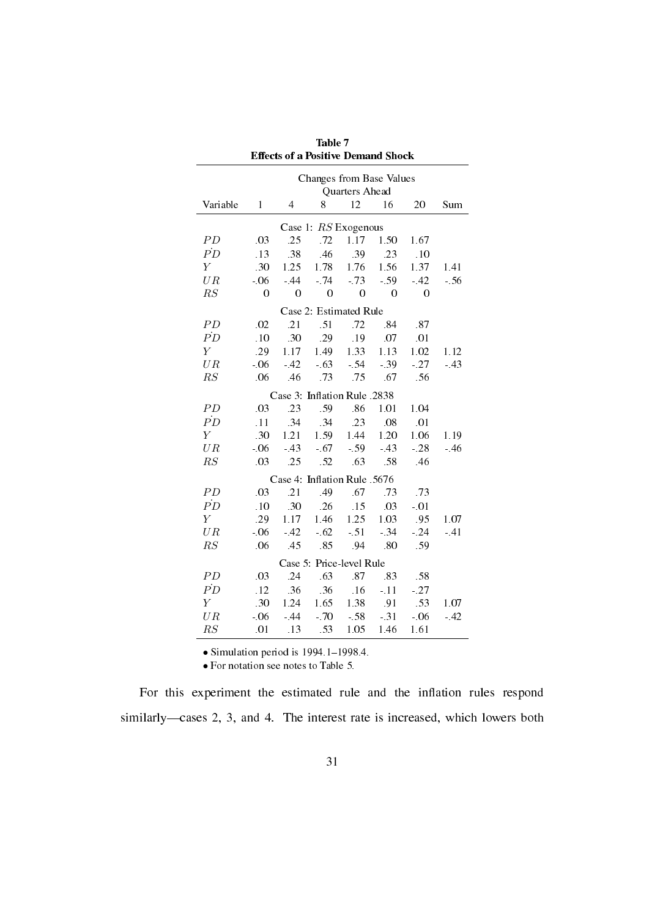| <b>Effects of a Positive Demand Shock</b>  |                |                |                              |                |                |                |        |  |  |
|--------------------------------------------|----------------|----------------|------------------------------|----------------|----------------|----------------|--------|--|--|
| Changes from Base Values<br>Quarters Ahead |                |                |                              |                |                |                |        |  |  |
|                                            |                |                |                              |                |                |                |        |  |  |
| Variable                                   | 1              | $\overline{4}$ | 8                            | 12             | 16             | 20             | Sum    |  |  |
| Case 1: RS Exogenous                       |                |                |                              |                |                |                |        |  |  |
| PD                                         | .03            | .25            | .72                          | 1.17           | 1.50           | 1.67           |        |  |  |
| $\dot{PD}$                                 | .13            | .38            | 46                           | .39            | .23            | .10            |        |  |  |
| $\boldsymbol{Y}$                           | .30            | 1.25           | 1.78                         | 1.76           | 1.56           | 1.37           | 1.41   |  |  |
| UR                                         | $-06$          | $-44$          | $-74$                        | $-73$          | $-59$          | $-42$          | $-.56$ |  |  |
| $\mathbb{R}S$                              | $\overline{0}$ | $\overline{0}$ | $\boldsymbol{0}$             | $\overline{0}$ | $\overline{0}$ | $\overline{0}$ |        |  |  |
|                                            |                |                | Case 2: Estimated Rule       |                |                |                |        |  |  |
| PD                                         | .02            | .21            | .51                          | .72            | .84            | .87            |        |  |  |
| $\dot{PD}$                                 | .10            | .30            | 29                           | .19            | .07            | .01            |        |  |  |
| $\overline{Y}$                             | .29            | 1.17           | 149                          | 1.33           | 1.13           | 1.02           | 1.12   |  |  |
| UR                                         | $-06$          | $-42$          | $-63$                        | $-54$          | $-39$          | $-27$          | $-43$  |  |  |
| RS                                         | .06            | .46            | .73                          | .75            | .67            | .56            |        |  |  |
|                                            |                |                | Case 3: Inflation Rule .2838 |                |                |                |        |  |  |
| PD                                         | .03            | .23            | .59                          | .86            | 1.01           | 1.04           |        |  |  |
| $\dot{PD}$                                 | .11            | .34            | 34                           | .23            | .08            | .01            |        |  |  |
| $\boldsymbol{Y}$                           | .30            | 1.21           | 1.59                         | 1.44           | 1.20           | 1.06           | 1.19   |  |  |
| UR                                         | $-06$          | $-43$          | $-67$                        | $-59$          | $-43$          | $-28$          | $-46$  |  |  |
| RS                                         | .03            | .25            | .52                          | .63            | .58            | .46            |        |  |  |
|                                            |                |                | Case 4: Inflation Rule .5676 |                |                |                |        |  |  |
| PD                                         | .03            | .21            | 49                           | .67            | .73            | .73            |        |  |  |
| $\dot{PD}$                                 | .10            | .30            | .26                          | .15            | .03            | $-.01$         |        |  |  |
| $\boldsymbol{Y}$                           | .29            | 1.17           | 1.46                         | 1.25           | 1.03           | .95            | 1.07   |  |  |
| UR                                         | $-06$          | $-42$          | $-62$                        | $-51$          | $-34$          | $-24$          | $-41$  |  |  |
| RS                                         | .06            | 45             | .85                          | .94            | .80            | .59            |        |  |  |
|                                            |                |                | Case 5: Price-level Rule     |                |                |                |        |  |  |
| PD                                         | .03            | .24            | .63                          | .87            | .83            | .58            |        |  |  |
| $\dot{PD}$                                 | .12            | .36            | .36                          | .16            | $-11$          | $-27$          |        |  |  |
| $\boldsymbol{Y}$                           | .30            | 1.24           | 1.65                         | 1.38           | .91            | .53            | 1.07   |  |  |
| UR                                         | $-06$          | $-44$          | $-70$                        | $-58$          | $-.31$         | $-06$          | $-42$  |  |  |
| RS                                         | .01            | .13            | 53                           | 1.05           | 1.46           | 1.61           |        |  |  |

Table 7

 $\bullet$  Simulation period is 1994.1-1998.4.

*•* For notation see notes to Table 5.

For this experiment the estimated rule and the inflation rules respond similarly-cases 2, 3, and 4. The interest rate is increased, which lowers both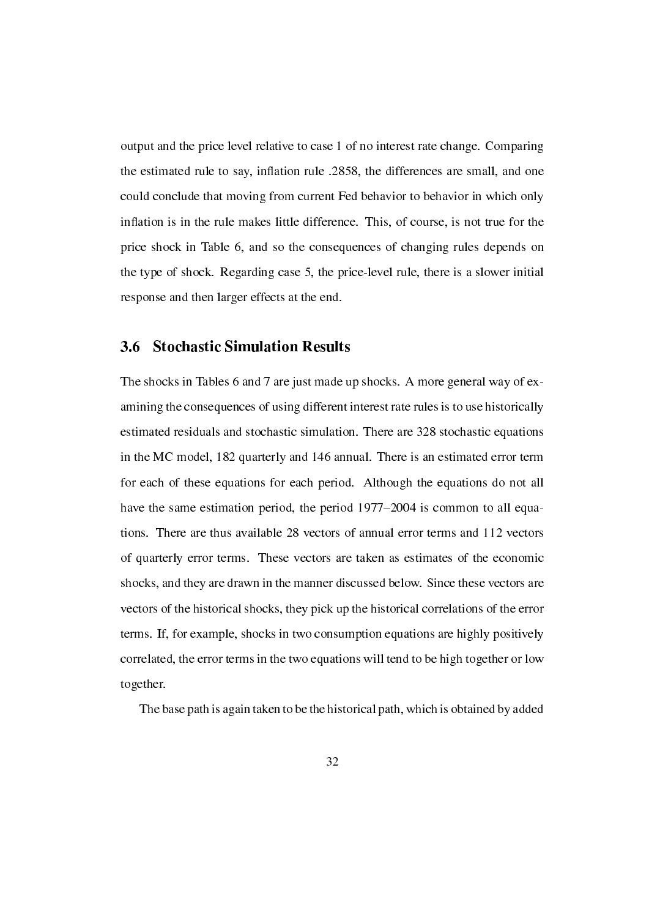output and the price level relative to case 1 of no interest rate change. Comparing the estimated rule to say, inflation rule .2858, the differences are small, and one could conclude that moving from current Fed behavior to behavior in which only inflation is in the rule makes little difference. This, of course, is not true for the price shock in Table 6, and so the consequences of changing rules depends on the type of shock. Regarding case 5, the price-level rule, there is a slower initial response and then larger effects at the end.

#### 3.6 Stochastic Simulation Results

The shocks in Tables 6 and 7 are just made up shocks. A more general way of examining the consequences of using different interest rate rules is to use historically estimated residuals and stochastic simulation. There are 328 stochastic equations in the MC model, 182 quarterly and 146 annual. There is an estimated error term for each of these equations for each period. Although the equations do not all have the same estimation period, the period 1977–2004 is common to all equations. There are thus available 28 vectors of annual error terms and 112 vectors of quarterly error terms. These vectors are taken as estimates of the economic shocks, and they are drawn in the manner discussed below. Since these vectors are vectors of the historical shocks, they pick up the historical correlations of the error terms. If, for example, shocks in two consumption equations are highly positively correlated, the error terms in the two equations will tend to be high together or low together.

The base path is again taken to be the historical path, which is obtained by added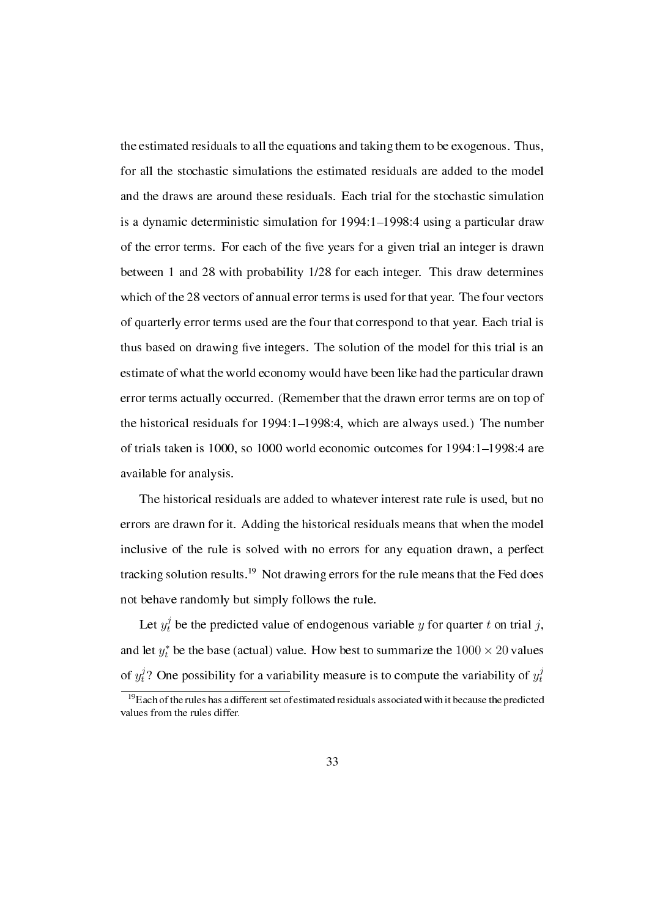the estimated residuals to all the equations and taking them to be exogenous. Thus, for all the stochastic simulations the estimated residuals are added to the model and the draws are around these residuals. Each trial for the stochastic simulation is a dynamic deterministic simulation for 1994:1-1998:4 using a particular draw of the error terms. For each of the five years for a given trial an integer is drawn between 1 and 28 with probability 1/28 for each integer. This draw determines which of the 28 vectors of annual error terms is used for that year. The four vectors of quarterly error terms used are the four that correspond to that year. Each trial is thus based on drawing five integers. The solution of the model for this trial is an estimate of what the world economy would have been like had the particular drawn error terms actually occurred. (Remember that the drawn error terms are on top of the historical residuals for  $1994:1-1998:4$ , which are always used.) The number of trials taken is 1000, so 1000 world economic outcomes for  $1994:1-1998:4$  are available for analysis.

The historical residuals are added to whatever interest rate rule is used, but no errors are drawn for it. Adding the historical residuals means that when the model inclusive of the rule is solved with no errors for any equation drawn, a perfect tracking solution results.<sup>19</sup> Not drawing errors for the rule means that the Fed does not behave randomly but simply follows the rule.

Let  $y_t^j$  be the predicted value of endogenous variable  $y$  for quarter  $t$  on trial  $j$ , and let  $y_t^*$  be the base (actual) value. How best to summarize the  $1000 \times 20$  values of  $y_t^j$ ? One possibility for a variability measure is to compute the variability of  $y_t^j$ *t*

<sup>&</sup>lt;sup>19</sup>Each of the rules has a different set of estimated residuals associated with it because the predicted values from the rules differ.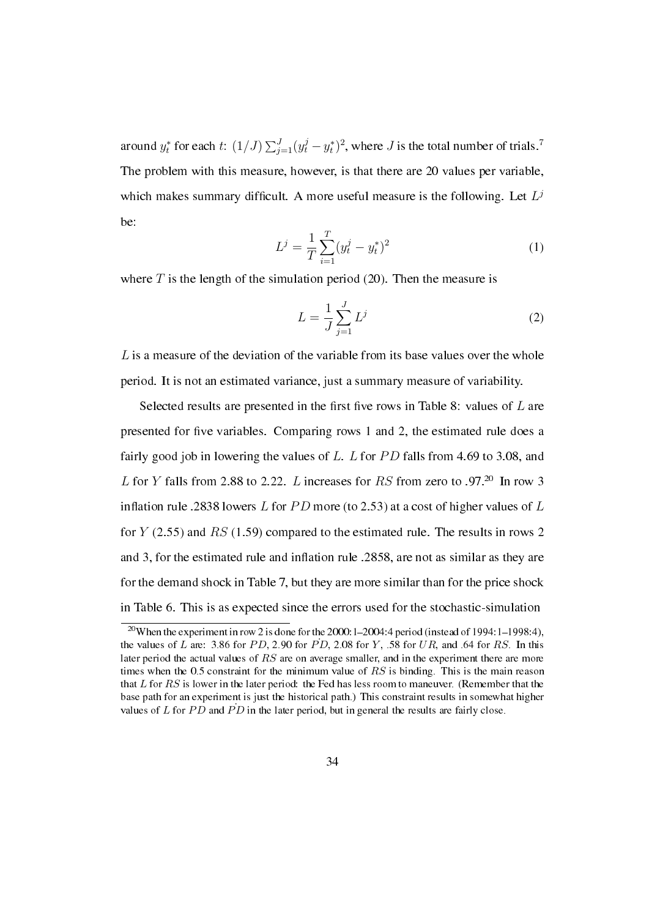around  $y_t^*$  for each  $t$ :  $(1/J)\sum_{j=1}^J (y_t^j - y_t^*)^2$ , where *J* is the total number of trials.<sup>7</sup> The problem with this measure, however, is that there are 20 values per variable, which makes summary difficult. A more useful measure is the following. Let  $L^j$ be:

$$
L^{j} = \frac{1}{T} \sum_{i=1}^{T} (y_t^{j} - y_t^{*})^2
$$
 (1)

where  $T$  is the length of the simulation period (20). Then the measure is

$$
L = \frac{1}{J} \sum_{j=1}^{J} L^{j}
$$
 (2)

*L* is a measure of the deviation of the variable from its base values over the whole period. It is not an estimated variance, just a summary measure of variability.

Selected results are presented in the first five rows in Table 8: values of L are presented for five variables. Comparing rows 1 and 2, the estimated rule does a fairly good job in lowering the values of *L*. *L* for *PD* falls from 4.69 to 3.08, and *L* for *Y* falls from 2.88 to 2.22. *L* increases for *RS* from zero to .97.<sup>20</sup> In row 3 inflation rule .2838 lowers  $L$  for  $PD$  more (to 2.53) at a cost of higher values of  $L$ for *Y* (2.55) and *RS* (1.59) compared to the estimated rule. The results in rows 2 and 3, for the estimated rule and inflation rule .2858, are not as similar as they are for the demand shock in Table 7, but they are more similar than for the price shock in Table 6. This is as expected since the errors used for the stochastic-simulation

<sup>&</sup>lt;sup>20</sup>When the experiment in row 2 is done for the 2000:1-2004:4 period (instead of 1994:1-1998:4), the values of *L* are: 3.86 for *PD*, 2.90 for *PD*, 2.08 for *Y*, .58 for *UR*, and .64 for *RS*. In this later period the actual values of *RS* are on average smaller, and in the experiment there are more times when the 0.5 constraint for the minimum value of *RS* is binding. This is the main reason that *L* for *RS* is lower in the later period: the Fed has less room to maneuver. (Remember that the base path for an experiment is just the historical path.) This constraint results in somewhat higher values of  $L$  for  $PD$  and  $PD$  in the later period, but in general the results are fairly close.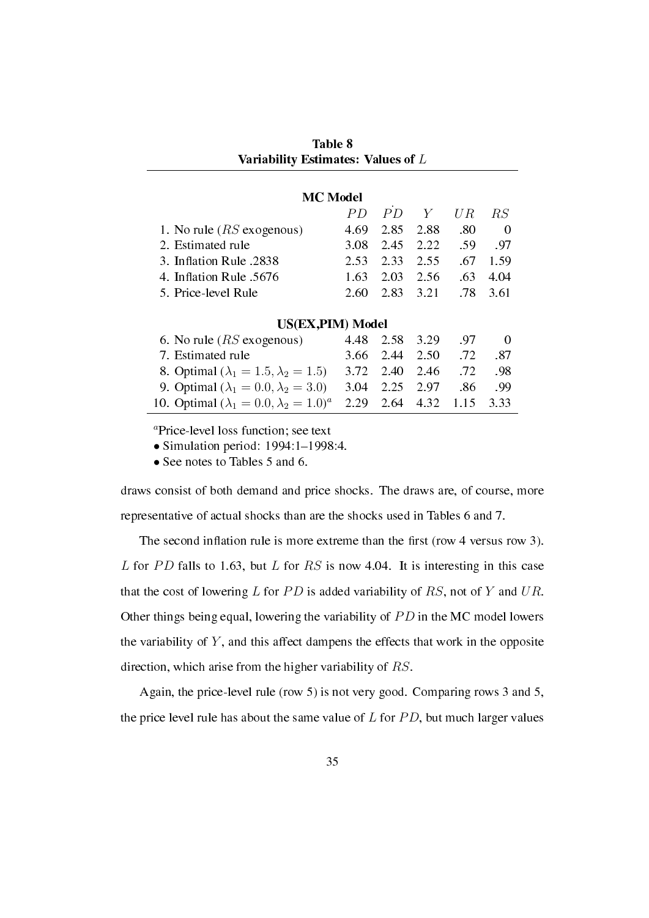| Table 8                            |  |
|------------------------------------|--|
| Variability Estimates: Values of L |  |

| <b>MC</b> Model                                    |      |      |      |      |               |  |  |  |  |  |
|----------------------------------------------------|------|------|------|------|---------------|--|--|--|--|--|
|                                                    | PD   | PD   | Y    | U R  | $\mathit{RS}$ |  |  |  |  |  |
| 1. No rule $(RS)$ exogenous)                       | 4.69 | 2.85 | 2.88 | .80  | 0             |  |  |  |  |  |
| 2. Estimated rule                                  | 3.08 | 2.45 | 2.22 | .59  | .97           |  |  |  |  |  |
| 3. Inflation Rule .2838                            | 2.53 | 2.33 | 2.55 | .67  | 1.59          |  |  |  |  |  |
| 4. Inflation Rule .5676                            | 1.63 | 2.03 | 2.56 | .63  | 4.04          |  |  |  |  |  |
| 5. Price-level Rule                                | 2.60 | 2.83 | 3.21 | .78  | 3.61          |  |  |  |  |  |
| US(EX,PIM) Model                                   |      |      |      |      |               |  |  |  |  |  |
| 6. No rule $(RS)$ exogenous)                       | 4.48 | 2.58 | 3.29 | .97  | $\Omega$      |  |  |  |  |  |
| 7. Estimated rule                                  | 3.66 | 2.44 | 2.50 | .72  | .87           |  |  |  |  |  |
| 8. Optimal ( $\lambda_1 = 1.5, \lambda_2 = 1.5$ )  | 3.72 | 2.40 | 2.46 | .72  | .98           |  |  |  |  |  |
| 9. Optimal ( $\lambda_1 = 0.0, \lambda_2 = 3.0$ )  | 3.04 | 2.25 | 2.97 | .86  | .99           |  |  |  |  |  |
| 10. Optimal $(\lambda_1 = 0.0, \lambda_2 = 1.0)^a$ | 2.29 | 2.64 | 4.32 | 1.15 | 3.33          |  |  |  |  |  |

*<sup>a</sup>*Price-level loss function; see text

• Simulation period: 1994:1-1998:4.

• See notes to Tables 5 and 6.

draws consist of both demand and price shocks. The draws are, of course, more representative of actual shocks than are the shocks used in Tables 6 and 7.

The second inflation rule is more extreme than the first (row 4 versus row 3). *L* for *PD* falls to 1.63, but *L* for *RS* is now 4.04. It is interesting in this case that the cost of lowering  $L$  for  $PD$  is added variability of  $RS$ , not of  $Y$  and  $UR$ . Other things being equal, lowering the variability of *P D* in the MC model lowers the variability of *Y* , and this affect dampens the effects that work in the opposite direction, which arise from the higher variability of *RS*.

Again, the price-level rule (row 5) is not very good. Comparing rows 3 and 5, the price level rule has about the same value of *L* for *P D*, but much larger values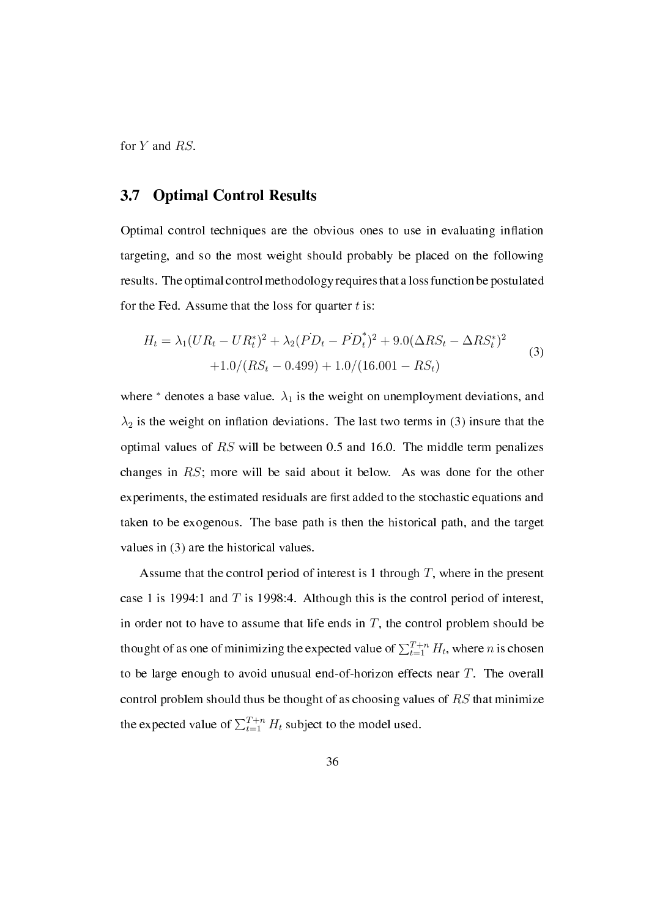for *Y* and *RS*.

#### 3.7 Optimal Control Results

Optimal control techniques are the obvious ones to use in evaluating inflation targeting, and so the most weight should probably be placed on the following results. The optimal control methodology requires that a loss function be postulated for the Fed. Assume that the loss for quarter *t* is:

$$
H_t = \lambda_1 (UR_t - UR_t^*)^2 + \lambda_2 (PD_t - PD_t^*)^2 + 9.0(\Delta RS_t - \Delta RS_t^*)^2
$$
  
+1.0/(RS\_t - 0.499) + 1.0/(16.001 - RS\_t) (3)

where  $*$  denotes a base value.  $\lambda_1$  is the weight on unemployment deviations, and  $\lambda_2$  is the weight on inflation deviations. The last two terms in (3) insure that the optimal values of *RS* will be between 0.5 and 16.0. The middle term penalizes changes in *RS*; more will be said about it below. As was done for the other experiments, the estimated residuals are first added to the stochastic equations and taken to be exogenous. The base path is then the historical path, and the target values in (3) are the historical values.

Assume that the control period of interest is 1 through *T*, where in the present case 1 is 1994:1 and *T* is 1998:4. Although this is the control period of interest, in order not to have to assume that life ends in  $T$ , the control problem should be thought of as one of minimizing the expected value of  $\sum_{t=1}^{T+n} H_t$ , where *n* is chosen to be large enough to avoid unusual end-of-horizon effects near *T*. The overall control problem should thus be thought of as choosing values of *RS* that minimize the expected value of  $\sum_{t=1}^{T+n} H_t$  subject to the model used.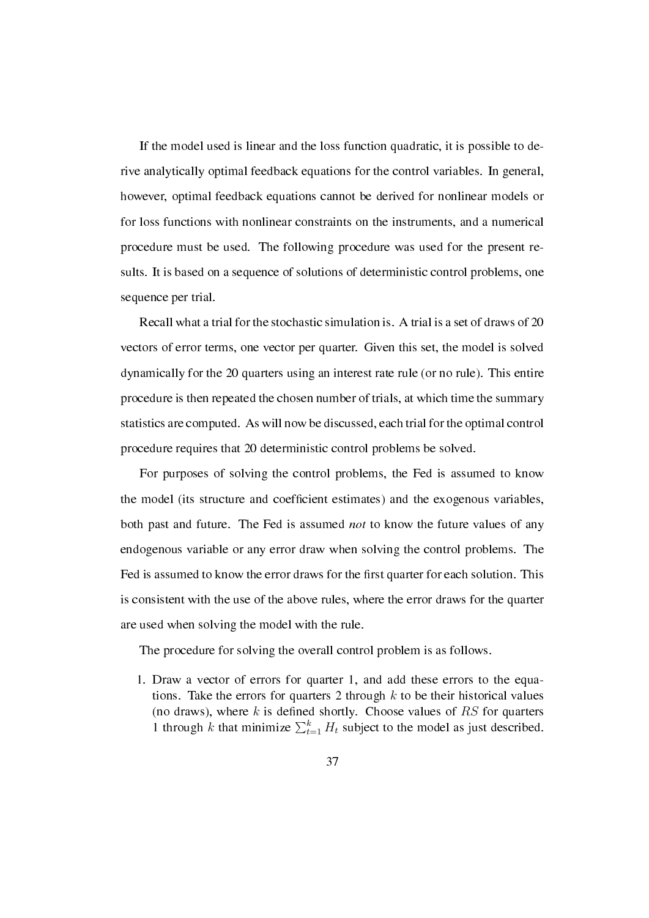If the model used is linear and the loss function quadratic, it is possible to derive analytically optimal feedback equations for the control variables. In general, however, optimal feedback equations cannot be derived for nonlinear models or for loss functions with nonlinear constraints on the instruments, and a numerical procedure must be used. The following procedure was used for the present results. It is based on a sequence of solutions of deterministic control problems, one sequence per trial.

Recall what a trial for the stochastic simulation is. A trial is a set of draws of 20 vectors of error terms, one vector per quarter. Given this set, the model is solved dynamically for the 20 quarters using an interest rate rule (or no rule). This entire procedure is then repeated the chosen number of trials, at which time the summary statistics are computed. As will now be discussed, each trial for the optimal control procedure requires that 20 deterministic control problems be solved.

For purposes of solving the control problems, the Fed is assumed to know the model (its structure and coefficient estimates) and the exogenous variables, both past and future. The Fed is assumed *not* to know the future values of any endogenous variable or any error draw when solving the control problems. The Fed is assumed to know the error draws for the first quarter for each solution. This is consistent with the use of the above rules, where the error draws for the quarter are used when solving the model with the rule.

The procedure for solving the overall control problem is as follows.

1. Draw a vector of errors for quarter 1, and add these errors to the equations. Take the errors for quarters 2 through *k* to be their historical values (no draws), where  $k$  is defined shortly. Choose values of  $RS$  for quarters 1 through *k* that minimize  $\sum_{t=1}^{k} H_t$  subject to the model as just described.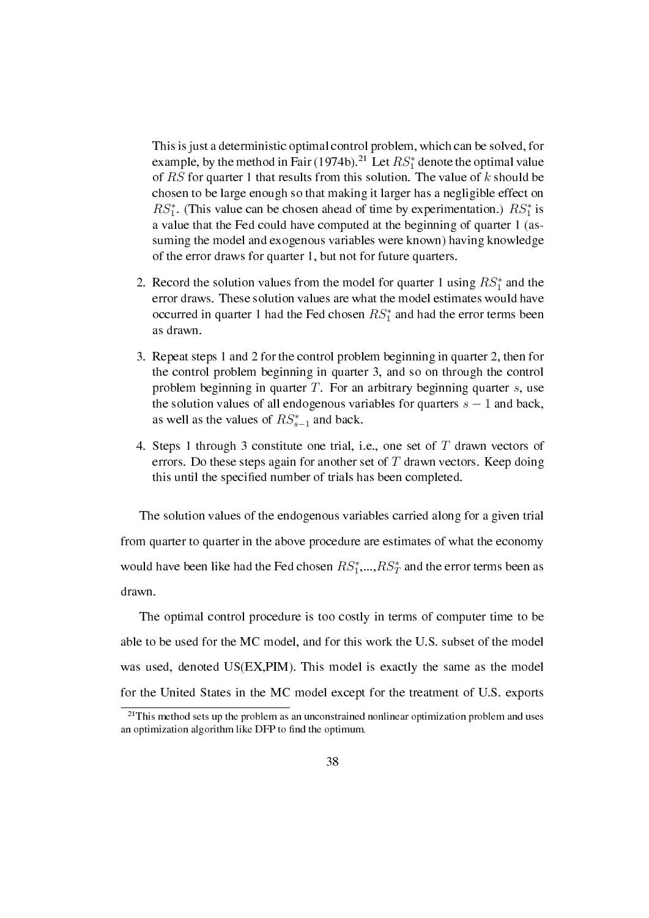This is just a deterministic optimal control problem, which can be solved, for example, by the method in Fair (1974b).<sup>21</sup> Let  $RS_1^*$  denote the optimal value of *RS* for quarter 1 that results from this solution. The value of *k* should be chosen to be large enough so that making it larger has a negligible effect on  $RS<sub>1</sub><sup>*</sup>$ . (This value can be chosen ahead of time by experimentation.)  $RS<sub>1</sub><sup>*</sup>$  is a value that the Fed could have computed at the beginning of quarter 1 (assuming the model and exogenous variables were known) having knowledge of the error draws for quarter 1, but not for future quarters.

- 2. Record the solution values from the model for quarter 1 using  $RS_1^*$  and the error draws. These solution values are what the model estimates would have occurred in quarter 1 had the Fed chosen  $RS<sub>1</sub><sup>*</sup>$  and had the error terms been as drawn.
- 3. Repeat steps 1 and 2 for the control problem beginning in quarter 2, then for the control problem beginning in quarter 3, and so on through the control problem beginning in quarter *T*. For an arbitrary beginning quarter *s*, use the solution values of all endogenous variables for quarters *s −* 1 and back, as well as the values of *RS<sup>∗</sup> s−*1 and back.
- 4. Steps 1 through 3 constitute one trial, i.e., one set of *T* drawn vectors of errors. Do these steps again for another set of *T* drawn vectors. Keep doing this until the specied number of trials has been completed.

The solution values of the endogenous variables carried along for a given trial from quarter to quarter in the above procedure are estimates of what the economy would have been like had the Fed chosen  $RS_1^*,...,RS_T^*$  and the error terms been as drawn.

The optimal control procedure is too costly in terms of computer time to be able to be used for the MC model, and for this work the U.S. subset of the model was used, denoted US(EX,PIM). This model is exactly the same as the model for the United States in the MC model except for the treatment of U.S. exports

 $21$ This method sets up the problem as an unconstrained nonlinear optimization problem and uses an optimization algorithm like DFP to find the optimum.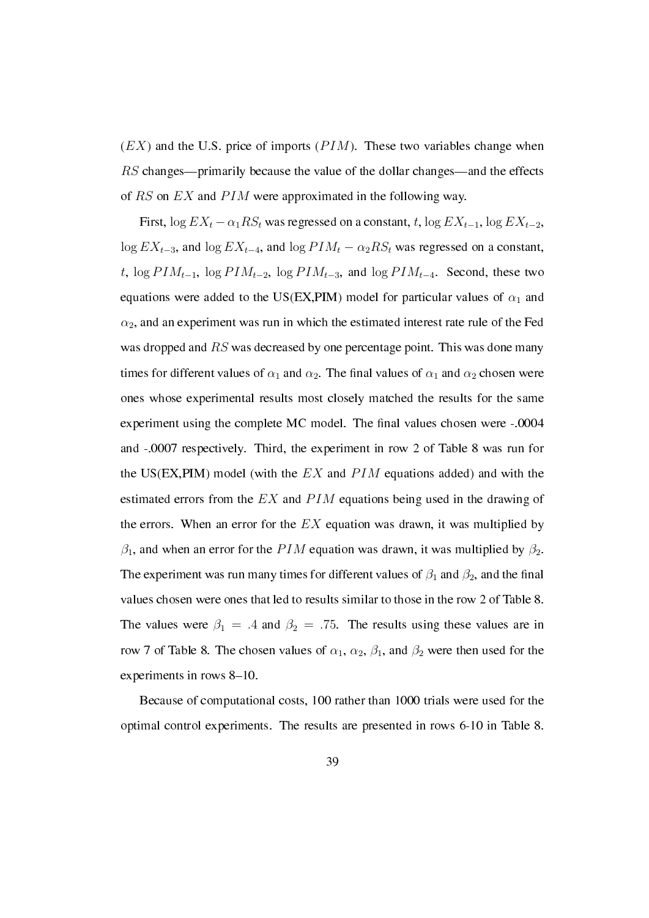$(EX)$  and the U.S. price of imports  $(PIM)$ . These two variables change when *RS* changes—primarily because the value of the dollar changes—and the effects of *RS* on *EX* and *P IM* were approximated in the following way.

First,  $\log EX_t - \alpha_1 RS_t$  was regressed on a constant, *t*,  $\log EX_{t-1}$ ,  $\log EX_{t-2}$ ,  $\log EX_{t-3}$ , and  $\log EX_{t-4}$ , and  $\log PIM_t - \alpha_2 RS_t$  was regressed on a constant, *t*, log  $PIM_{t-1}$ , log  $PIM_{t-2}$ , log  $PIM_{t-3}$ , and log  $PIM_{t-4}$ . Second, these two equations were added to the US(EX,PIM) model for particular values of  $\alpha_1$  and  $\alpha_2$ , and an experiment was run in which the estimated interest rate rule of the Fed was dropped and *RS* was decreased by one percentage point. This was done many times for different values of  $\alpha_1$  and  $\alpha_2$ . The final values of  $\alpha_1$  and  $\alpha_2$  chosen were ones whose experimental results most closely matched the results for the same experiment using the complete MC model. The final values chosen were -.0004 and -.0007 respectively. Third, the experiment in row 2 of Table 8 was run for the US(EX,PIM) model (with the *EX* and *P IM* equations added) and with the estimated errors from the *EX* and *PIM* equations being used in the drawing of the errors. When an error for the *EX* equation was drawn, it was multiplied by  $\beta_1$ , and when an error for the *PIM* equation was drawn, it was multiplied by  $\beta_2$ . The experiment was run many times for different values of  $\beta_1$  and  $\beta_2$ , and the final values chosen were ones that led to results similar to those in the row 2 of Table 8. The values were  $\beta_1 = .4$  and  $\beta_2 = .75$ . The results using these values are in row 7 of Table 8. The chosen values of  $\alpha_1$ ,  $\alpha_2$ ,  $\beta_1$ , and  $\beta_2$  were then used for the experiments in rows  $8-10$ .

Because of computational costs, 100 rather than 1000 trials were used for the optimal control experiments. The results are presented in rows 6-10 in Table 8.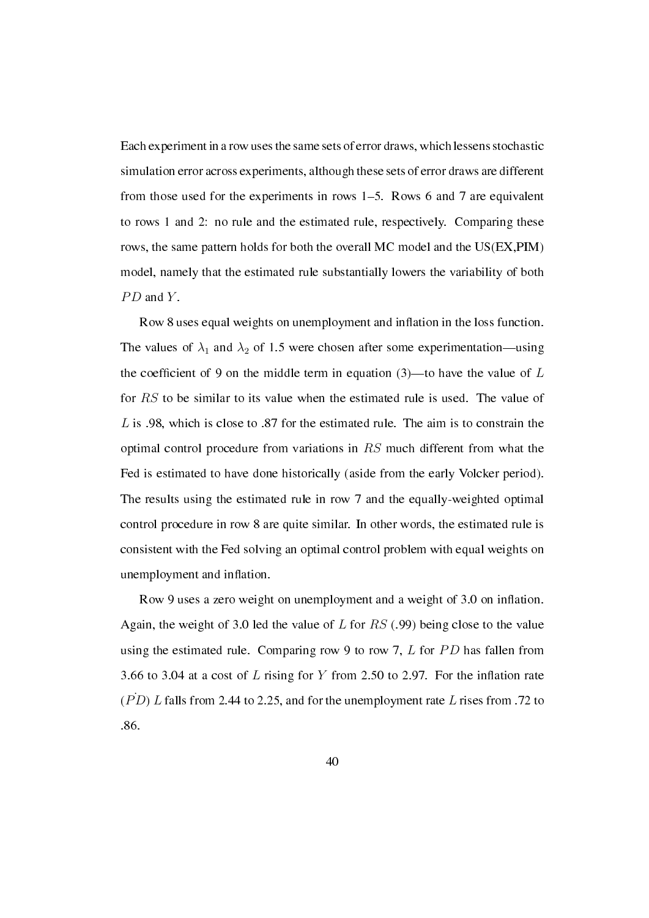Each experiment in a row uses the same sets of error draws, which lessens stochastic simulation error across experiments, although these sets of error draws are different from those used for the experiments in rows  $1-5$ . Rows 6 and 7 are equivalent to rows 1 and 2: no rule and the estimated rule, respectively. Comparing these rows, the same pattern holds for both the overall MC model and the US(EX,PIM) model, namely that the estimated rule substantially lowers the variability of both *PD* and *Y*.

Row 8 uses equal weights on unemployment and inflation in the loss function. The values of  $\lambda_1$  and  $\lambda_2$  of 1.5 were chosen after some experimentation—using the coefficient of 9 on the middle term in equation  $(3)$ —to have the value of *L* for *RS* to be similar to its value when the estimated rule is used. The value of *L* is .98, which is close to .87 for the estimated rule. The aim is to constrain the optimal control procedure from variations in *RS* much different from what the Fed is estimated to have done historically (aside from the early Volcker period). The results using the estimated rule in row 7 and the equally-weighted optimal control procedure in row 8 are quite similar. In other words, the estimated rule is consistent with the Fed solving an optimal control problem with equal weights on unemployment and inflation.

Row 9 uses a zero weight on unemployment and a weight of 3.0 on inflation. Again, the weight of 3.0 led the value of *L* for *RS* (.99) being close to the value using the estimated rule. Comparing row 9 to row 7, *L* for *P D* has fallen from 3.66 to 3.04 at a cost of  $L$  rising for  $Y$  from 2.50 to 2.97. For the inflation rate  $(\overrightarrow{PD}) L$  falls from 2.44 to 2.25, and for the unemployment rate L rises from .72 to .86.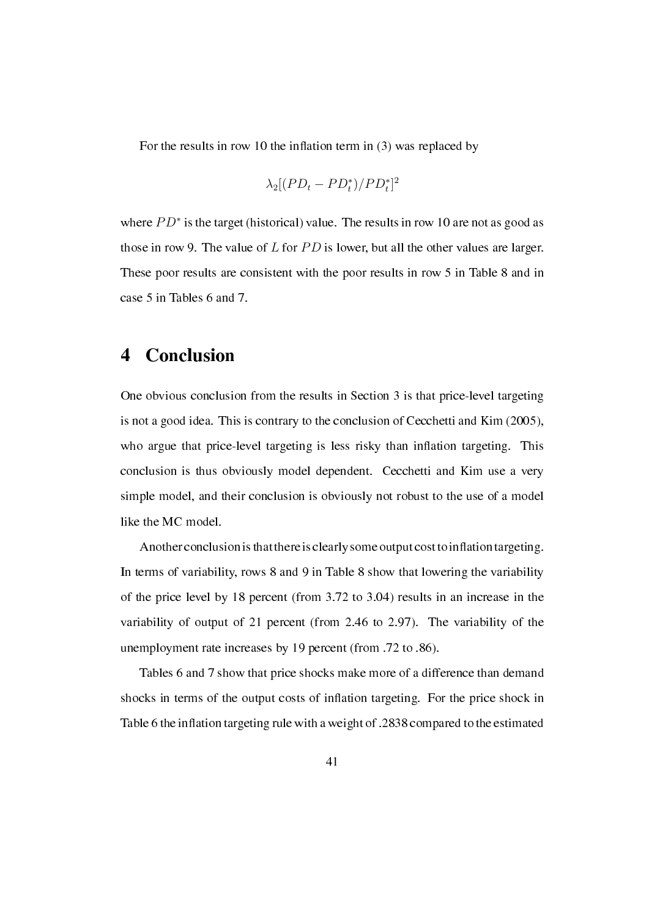For the results in row 10 the inflation term in  $(3)$  was replaced by

$$
\lambda_2[(PD_t - PD_t^*)/PD_t^*]^2
$$

where  $PD^*$  is the target (historical) value. The results in row 10 are not as good as those in row 9. The value of *L* for *PD* is lower, but all the other values are larger. These poor results are consistent with the poor results in row 5 in Table 8 and in case 5 in Tables 6 and 7.

### 4 Conclusion

One obvious conclusion from the results in Section 3 is that price-level targeting is not a good idea. This is contrary to the conclusion of Cecchetti and Kim (2005), who argue that price-level targeting is less risky than inflation targeting. This conclusion is thus obviously model dependent. Cecchetti and Kim use a very simple model, and their conclusion is obviously not robust to the use of a model like the MC model.

Another conclusion is that there is clearly some output cost to inflation targeting. In terms of variability, rows 8 and 9 in Table 8 show that lowering the variability of the price level by 18 percent (from 3.72 to 3.04) results in an increase in the variability of output of 21 percent (from 2.46 to 2.97). The variability of the unemployment rate increases by 19 percent (from .72 to .86).

Tables 6 and 7 show that price shocks make more of a difference than demand shocks in terms of the output costs of inflation targeting. For the price shock in Table 6 the inflation targeting rule with a weight of .2838 compared to the estimated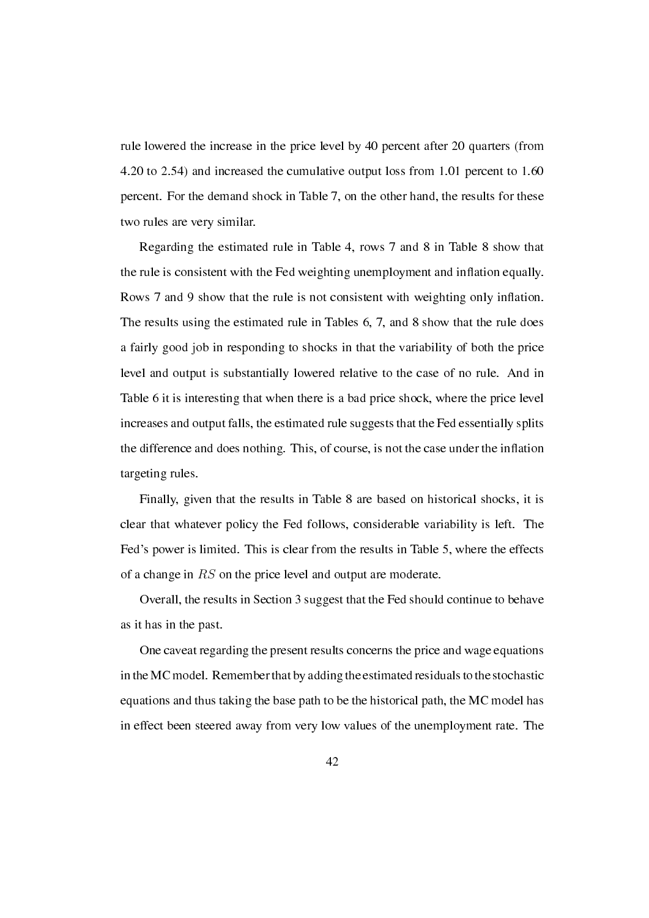rule lowered the increase in the price level by 40 percent after 20 quarters (from 4.20 to 2.54) and increased the cumulative output loss from 1.01 percent to 1.60 percent. For the demand shock in Table 7, on the other hand, the results for these two rules are very similar.

Regarding the estimated rule in Table 4, rows 7 and 8 in Table 8 show that the rule is consistent with the Fed weighting unemployment and inflation equally. Rows 7 and 9 show that the rule is not consistent with weighting only inflation. The results using the estimated rule in Tables 6, 7, and 8 show that the rule does a fairly good job in responding to shocks in that the variability of both the price level and output is substantially lowered relative to the case of no rule. And in Table 6 it is interesting that when there is a bad price shock, where the price level increases and output falls, the estimated rule suggests that the Fed essentially splits the difference and does nothing. This, of course, is not the case under the inflation targeting rules.

Finally, given that the results in Table 8 are based on historical shocks, it is clear that whatever policy the Fed follows, considerable variability is left. The Fed's power is limited. This is clear from the results in Table 5, where the effects of a change in *RS* on the price level and output are moderate.

Overall, the results in Section 3 suggest that the Fed should continue to behave as it has in the past.

One caveat regarding the present results concerns the price and wage equations in theMC model. Remember that by adding the estimated residuals to the stochastic equations and thus taking the base path to be the historical path, the MC model has in effect been steered away from very low values of the unemployment rate. The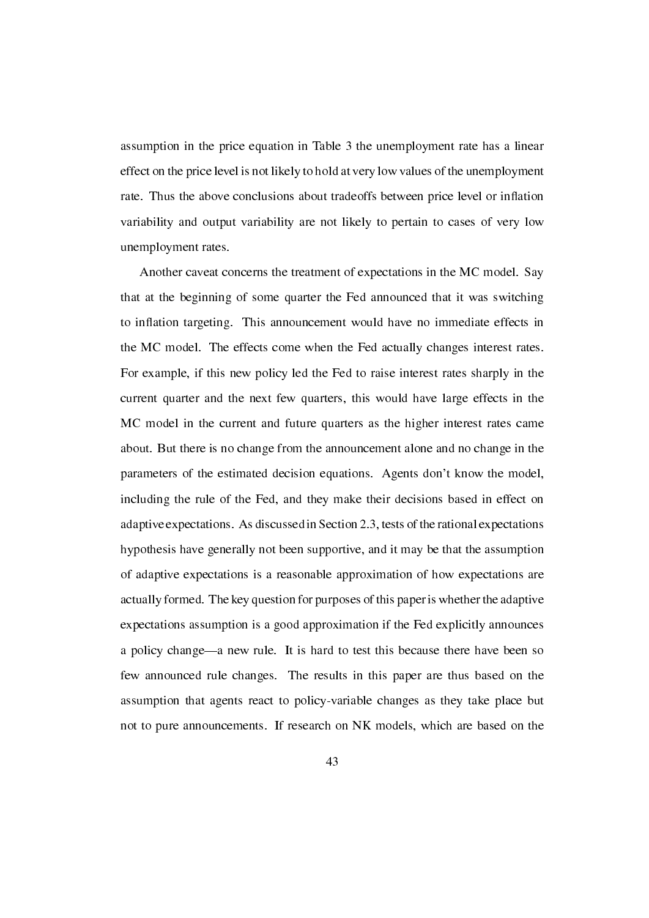assumption in the price equation in Table 3 the unemployment rate has a linear effect on the price level is not likely to hold at very low values of the unemployment rate. Thus the above conclusions about tradeoffs between price level or inflation variability and output variability are not likely to pertain to cases of very low unemployment rates.

Another caveat concerns the treatment of expectations in the MC model. Say that at the beginning of some quarter the Fed announced that it was switching to inflation targeting. This announcement would have no immediate effects in the MC model. The effects come when the Fed actually changes interest rates. For example, if this new policy led the Fed to raise interest rates sharply in the current quarter and the next few quarters, this would have large effects in the MC model in the current and future quarters as the higher interest rates came about. But there is no change from the announcement alone and no change in the parameters of the estimated decision equations. Agents don't know the model, including the rule of the Fed, and they make their decisions based in effect on adaptive expectations. As discussed in Section 2.3, tests of the rational expectations hypothesis have generally not been supportive, and it may be that the assumption of adaptive expectations is a reasonable approximation of how expectations are actually formed. The key question for purposes of this paper is whether the adaptive expectations assumption is a good approximation if the Fed explicitly announces a policy change—a new rule. It is hard to test this because there have been so few announced rule changes. The results in this paper are thus based on the assumption that agents react to policy-variable changes as they take place but not to pure announcements. If research on NK models, which are based on the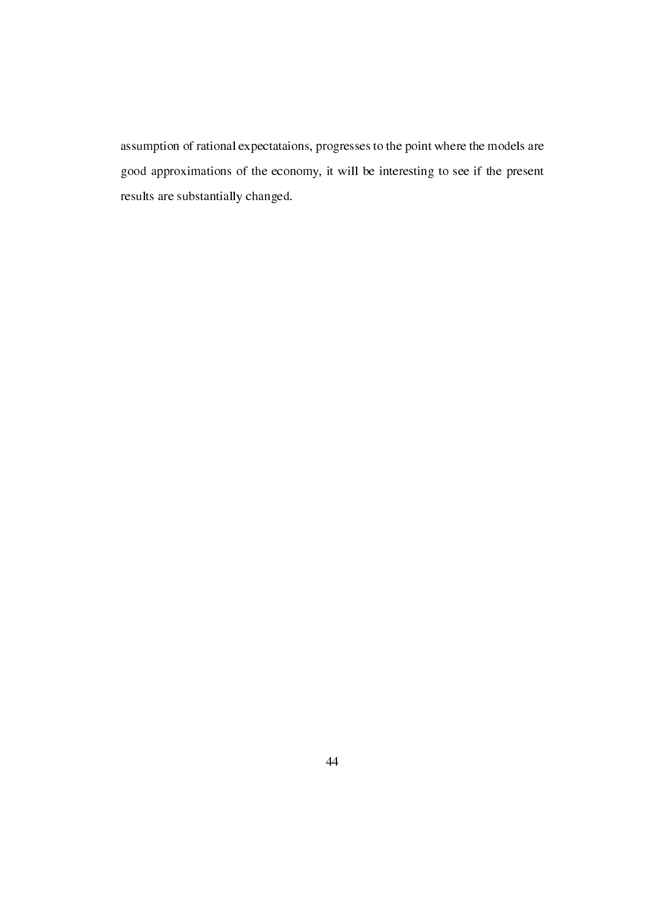assumption of rational expectataions, progresses to the point where the models are good approximations of the economy, it will be interesting to see if the present results are substantially changed.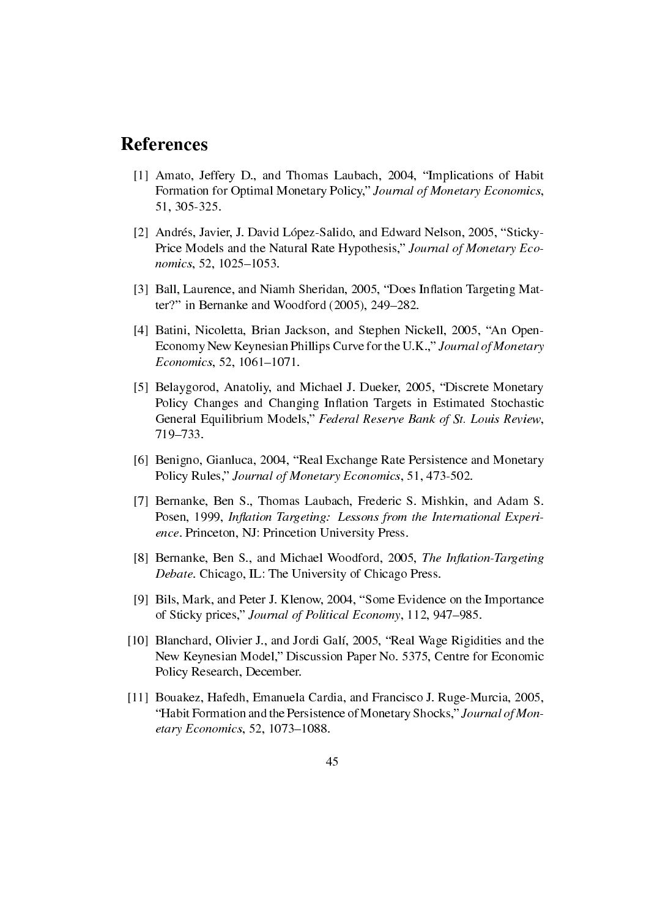### References

- [1] Amato, Jeffery D., and Thomas Laubach, 2004, "Implications of Habit Formation for Optimal Monetary Policy," Journal of Monetary Economics, 51, 305-325.
- [2] Andrés, Javier, J. David López-Salido, and Edward Nelson, 2005, "Sticky-Price Models and the Natural Rate Hypothesis," Journal of Monetary Economics, 52, 1025-1053.
- [3] Ball, Laurence, and Niamh Sheridan, 2005, "Does Inflation Targeting Matter?" in Bernanke and Woodford  $(2005)$ , 249–282.
- [4] Batini, Nicoletta, Brian Jackson, and Stephen Nickell, 2005, "An Open-Economy New Keynesian Phillips Curve for the U.K.," Journal of Monetary  $Economics, 52, 1061-1071.$
- [5] Belaygorod, Anatoliy, and Michael J. Dueker, 2005, "Discrete Monetary Policy Changes and Changing Inflation Targets in Estimated Stochastic General Equilibrium Models," Federal Reserve Bank of St. Louis Review, 719-733.
- [6] Benigno, Gianluca, 2004, "Real Exchange Rate Persistence and Monetary Policy Rules," Journal of Monetary Economics, 51, 473-502.
- [7] Bernanke, Ben S., Thomas Laubach, Frederic S. Mishkin, and Adam S. Posen, 1999, Inflation Targeting: Lessons from the International Experience. Princeton, NJ: Princetion University Press.
- [8] Bernanke, Ben S., and Michael Woodford, 2005, The Inflation-Targeting Debate. Chicago, IL: The University of Chicago Press.
- [9] Bils, Mark, and Peter J. Klenow, 2004, "Some Evidence on the Importance of Sticky prices," Journal of Political Economy, 112, 947–985.
- [10] Blanchard, Olivier J., and Jordi Galí, 2005, "Real Wage Rigidities and the New Keynesian Model," Discussion Paper No. 5375, Centre for Economic Policy Research, December.
- [11] Bouakez, Hafedh, Emanuela Cardia, and Francisco J. Ruge-Murcia, 2005, "Habit Formation and the Persistence of Monetary Shocks," Journal of Monetary Economics, 52, 1073-1088.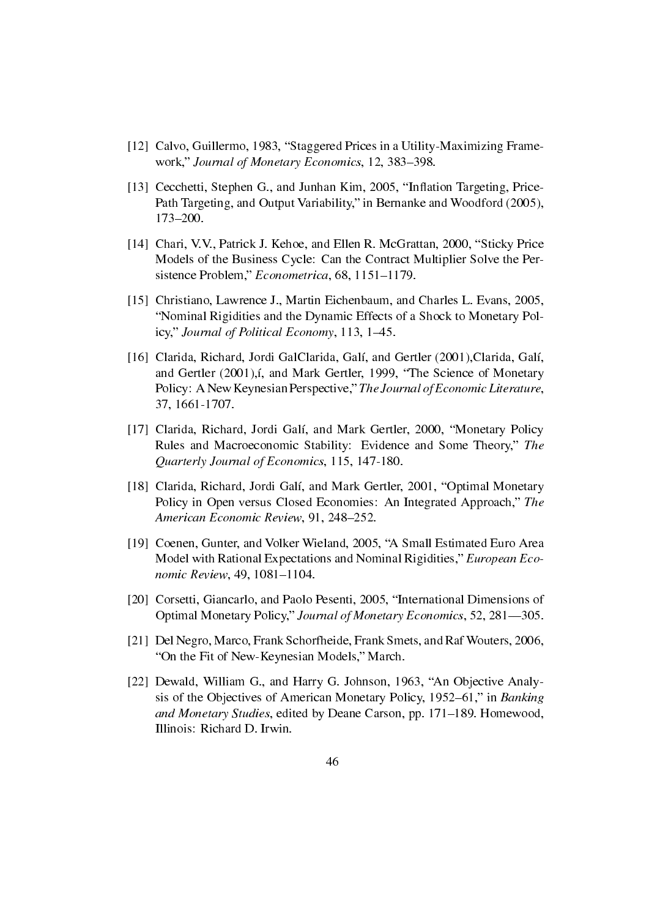- [12] Calvo, Guillermo, 1983, "Staggered Prices in a Utility-Maximizing Framework," Journal of Monetary Economics, 12, 383-398.
- [13] Cecchetti, Stephen G., and Junhan Kim, 2005, "Inflation Targeting, Price-Path Targeting, and Output Variability," in Bernanke and Woodford (2005), 173-200.
- [14] Chari, V.V., Patrick J. Kehoe, and Ellen R. McGrattan, 2000, "Sticky Price Models of the Business Cycle: Can the Contract Multiplier Solve the Persistence Problem," Econometrica, 68, 1151-1179.
- [15] Christiano, Lawrence J., Martin Eichenbaum, and Charles L. Evans, 2005, Nominal Rigidities and the Dynamic Effects of a Shock to Monetary Policy," Journal of Political Economy, 113, 1-45.
- [16] Clarida, Richard, Jordi GalClarida, Galí, and Gertler (2001),Clarida, Galí, and Gertler (2001), i, and Mark Gertler, 1999, "The Science of Monetary Policy: A New Keynesian Perspective," The Journal of Economic Literature, 37, 1661-1707.
- [17] Clarida, Richard, Jordi Galí, and Mark Gertler, 2000, "Monetary Policy Rules and Macroeconomic Stability: Evidence and Some Theory," The Quarterly Journal of Economics, 115, 147-180.
- [18] Clarida, Richard, Jordi Galí, and Mark Gertler, 2001, "Optimal Monetary Policy in Open versus Closed Economies: An Integrated Approach," The American Economic Review, 91, 248-252.
- [19] Coenen, Gunter, and Volker Wieland, 2005, "A Small Estimated Euro Area Model with Rational Expectations and Nominal Rigidities," European Economic Review, 49, 1081-1104.
- [20] Corsetti, Giancarlo, and Paolo Pesenti, 2005, "International Dimensions of Optimal Monetary Policy," Journal of Monetary Economics, 52, 281-305.
- [21] Del Negro, Marco, Frank Schorfheide, Frank Smets, and RafWouters, 2006, "On the Fit of New-Keynesian Models," March.
- [22] Dewald, William G., and Harry G. Johnson, 1963, "An Objective Analysis of the Objectives of American Monetary Policy, 1952–61," in Banking and Monetary Studies, edited by Deane Carson, pp. 171–189. Homewood, Illinois: Richard D. Irwin.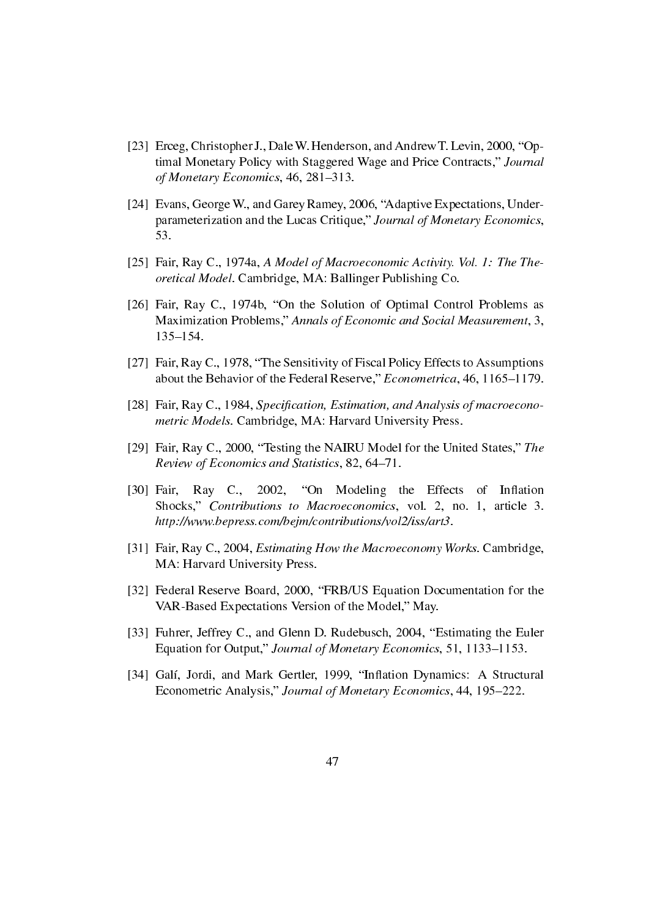- [23] Erceg, Christopher J., Dale W. Henderson, and Andrew T. Levin, 2000, "Optimal Monetary Policy with Staggered Wage and Price Contracts," Journal of Monetary Economics, 46, 281-313.
- [24] Evans, George W., and Garey Ramey, 2006, "Adaptive Expectations, Underparameterization and the Lucas Critique," Journal of Monetary Economics, 53.
- [25] Fair, Ray C., 1974a, A Model of Macroeconomic Activity. Vol. 1: The Theoretical Model. Cambridge, MA: Ballinger Publishing Co.
- [26] Fair, Ray C., 1974b, "On the Solution of Optimal Control Problems as Maximization Problems," Annals of Economic and Social Measurement, 3, 135-154.
- [27] Fair, Ray C., 1978, "The Sensitivity of Fiscal Policy Effects to Assumptions about the Behavior of the Federal Reserve," Econometrica, 46, 1165-1179.
- [28] Fair, Ray C., 1984, Specification, Estimation, and Analysis of macroeconometric Models. Cambridge, MA: Harvard University Press.
- [29] Fair, Ray C., 2000, "Testing the NAIRU Model for the United States," The Review of Economics and Statistics, 82, 64-71.
- [30] Fair, Ray C., 2002, "On Modeling the Effects of Inflation Shocks," Contributions to Macroeconomics, vol. 2, no. 1, article 3. http://www.bepress.com/bejm/contributions/vol2/iss/art3.
- [31] Fair, Ray C., 2004, *Estimating How the Macroeconomy Works*. Cambridge, MA: Harvard University Press.
- [32] Federal Reserve Board, 2000, "FRB/US Equation Documentation for the VAR-Based Expectations Version of the Model," May.
- [33] Fuhrer, Jeffrey C., and Glenn D. Rudebusch, 2004, "Estimating the Euler Equation for Output," Journal of Monetary Economics, 51, 1133-1153.
- [34] Galí, Jordi, and Mark Gertler, 1999, "Inflation Dynamics: A Structural Econometric Analysis," Journal of Monetary Economics, 44, 195-222.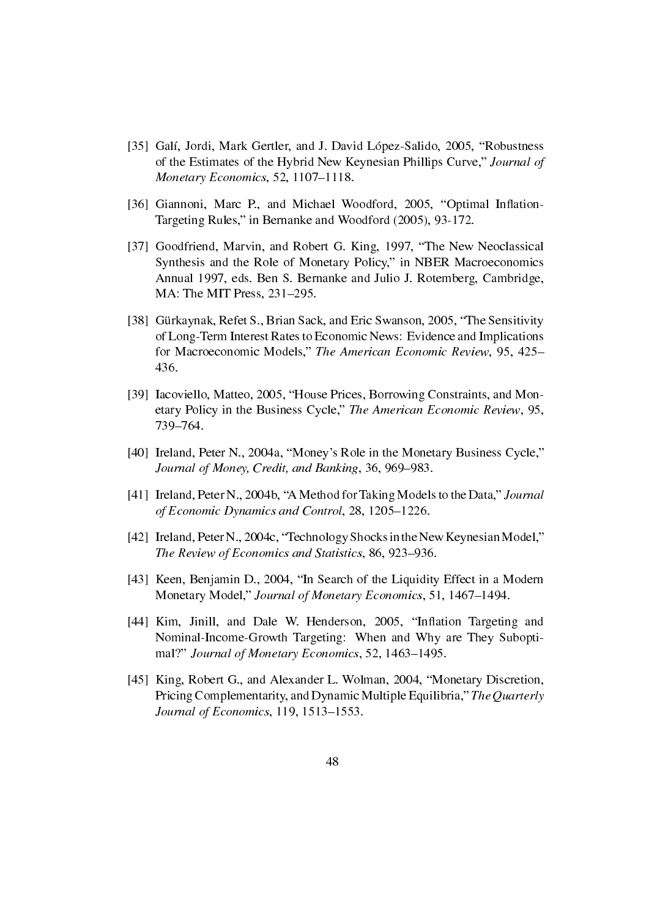- [35] Galí, Jordi, Mark Gertler, and J. David López-Salido, 2005, "Robustness" of the Estimates of the Hybrid New Keynesian Phillips Curve," Journal of Monetary Economics, 52, 1107-1118.
- [36] Giannoni, Marc P., and Michael Woodford, 2005, "Optimal Inflation-Targeting Rules," in Bernanke and Woodford (2005), 93-172.
- [37] Goodfriend, Marvin, and Robert G. King, 1997, "The New Neoclassical Synthesis and the Role of Monetary Policy," in NBER Macroeconomics Annual 1997, eds. Ben S. Bernanke and Julio J. Rotemberg, Cambridge, MA: The MIT Press, 231-295.
- [38] Gürkaynak, Refet S., Brian Sack, and Eric Swanson, 2005, "The Sensitivity" of Long-Term Interest Rates to Economic News: Evidence and Implications for Macroeconomic Models," The American Economic Review, 95, 425– 436.
- [39] Iacoviello, Matteo, 2005, "House Prices, Borrowing Constraints, and Monetary Policy in the Business Cycle," The American Economic Review, 95, 739-764.
- [40] Ireland, Peter N., 2004a, "Money's Role in the Monetary Business Cycle," Journal of Money, Credit, and Banking, 36, 969–983.
- [41] Ireland, Peter N., 2004b, "A Method for Taking Models to the Data," Journal of Economic Dynamics and Control, 28, 1205-1226.
- [42] Ireland, Peter N., 2004c, "Technology Shocks in the New Keynesian Model," The Review of Economics and Statistics, 86, 923–936.
- [43] Keen, Benjamin D., 2004, "In Search of the Liquidity Effect in a Modern Monetary Model," Journal of Monetary Economics, 51, 1467-1494.
- [44] Kim, Jinill, and Dale W. Henderson, 2005, "Inflation Targeting and Nominal-Income-Growth Targeting: When and Why are They Suboptimal?" Journal of Monetary Economics, 52, 1463-1495.
- [45] King, Robert G., and Alexander L. Wolman, 2004, "Monetary Discretion, Pricing Complementarity, and Dynamic Multiple Equilibria," The Quarterly Journal of Economics,  $119$ ,  $1513-1553$ .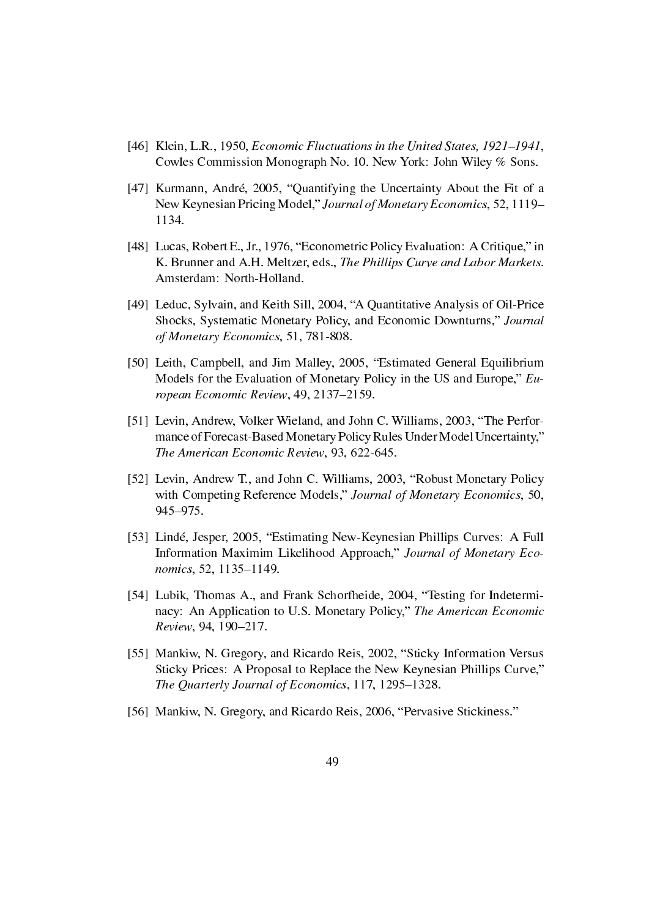- [46] Klein, L.R., 1950, *Economic Fluctuations in the United States, 1921–1941*, Cowles Commission Monograph No. 10. New York: John Wiley % Sons.
- [47] Kurmann, André, 2005, "Quantifying the Uncertainty About the Fit of a New Keynesian Pricing Model," Journal of Monetary Economics, 52, 1119– 1134.
- [48] Lucas, Robert E., Jr., 1976, "Econometric Policy Evaluation: A Critique," in K. Brunner and A.H. Meltzer, eds., The Phillips Curve and Labor Markets. Amsterdam: North-Holland.
- [49] Leduc, Sylvain, and Keith Sill, 2004, "A Quantitative Analysis of Oil-Price Shocks, Systematic Monetary Policy, and Economic Downturns," Journal of Monetary Economics, 51, 781-808.
- [50] Leith, Campbell, and Jim Malley, 2005, "Estimated General Equilibrium Models for the Evaluation of Monetary Policy in the US and Europe,"  $Eu$ ropean Economic Review, 49, 2137-2159.
- [51] Levin, Andrew, Volker Wieland, and John C. Williams, 2003, "The Performance of Forecast-Based Monetary Policy Rules Under Model Uncertainty," The American Economic Review, 93, 622-645.
- [52] Levin, Andrew T., and John C. Williams, 2003, "Robust Monetary Policy with Competing Reference Models," Journal of Monetary Economics, 50, 945-975.
- [53] Lindé, Jesper, 2005, "Estimating New-Keynesian Phillips Curves: A Full Information Maximim Likelihood Approach," Journal of Monetary Economics, 52, 1135-1149.
- [54] Lubik, Thomas A., and Frank Schorfheide, 2004, "Testing for Indeterminacy: An Application to U.S. Monetary Policy," The American Economic Review, 94, 190-217.
- [55] Mankiw, N. Gregory, and Ricardo Reis, 2002, "Sticky Information Versus Sticky Prices: A Proposal to Replace the New Keynesian Phillips Curve, The Quarterly Journal of Economics, 117, 1295-1328.
- [56] Mankiw, N. Gregory, and Ricardo Reis, 2006, "Pervasive Stickiness."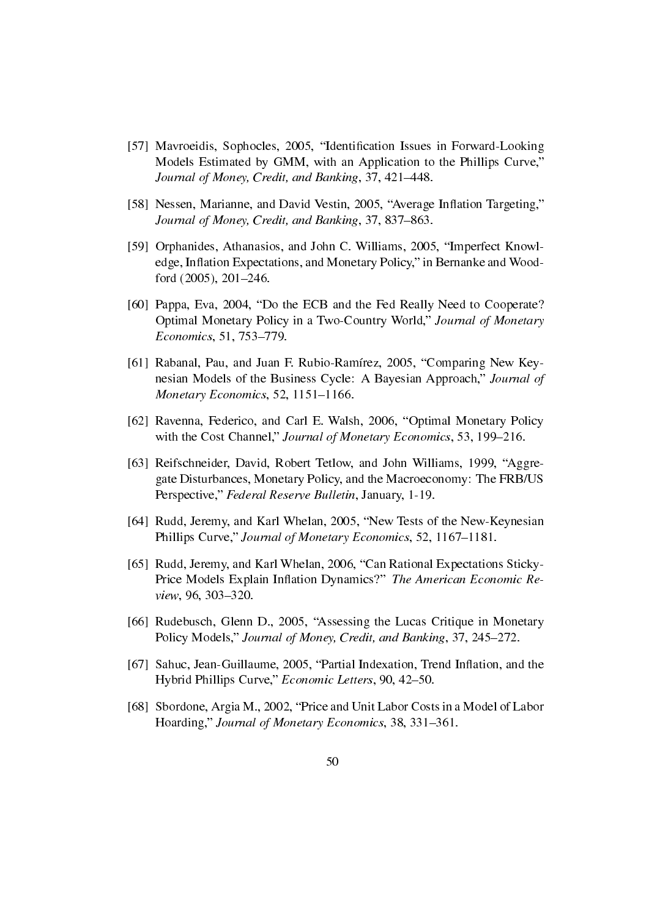- [57] Mavroeidis, Sophocles, 2005, "Identification Issues in Forward-Looking Models Estimated by GMM, with an Application to the Phillips Curve, Journal of Money, Credit, and Banking, 37, 421–448.
- [58] Nessen, Marianne, and David Vestin, 2005, "Average Inflation Targeting," Journal of Money, Credit, and Banking, 37, 837–863.
- [59] Orphanides, Athanasios, and John C. Williams, 2005, "Imperfect Knowledge, Inflation Expectations, and Monetary Policy," in Bernanke and Woodford (2005), 201-246.
- [60] Pappa, Eva, 2004, "Do the ECB and the Fed Really Need to Cooperate? Optimal Monetary Policy in a Two-Country World," Journal of Monetary Economics, 51, 753-779.
- [61] Rabanal, Pau, and Juan F. Rubio-Ramírez, 2005, "Comparing New Keynesian Models of the Business Cycle: A Bayesian Approach," Journal of Monetary Economics, 52, 1151-1166.
- [62] Ravenna, Federico, and Carl E. Walsh, 2006, "Optimal Monetary Policy with the Cost Channel," Journal of Monetary Economics, 53, 199-216.
- [63] Reifschneider, David, Robert Tetlow, and John Williams, 1999, "Aggregate Disturbances, Monetary Policy, and the Macroeconomy: The FRB/US Perspective," Federal Reserve Bulletin, January, 1-19.
- [64] Rudd, Jeremy, and Karl Whelan, 2005, "New Tests of the New-Keynesian Phillips Curve," Journal of Monetary Economics, 52, 1167-1181.
- [65] Rudd, Jeremy, and Karl Whelan, 2006, "Can Rational Expectations Sticky-Price Models Explain Inflation Dynamics?" The American Economic Review, 96, 303-320.
- [66] Rudebusch, Glenn D., 2005, "Assessing the Lucas Critique in Monetary Policy Models," Journal of Money, Credit, and Banking, 37, 245–272.
- [67] Sahuc, Jean-Guillaume, 2005, "Partial Indexation, Trend Inflation, and the Hybrid Phillips Curve," Economic Letters, 90, 42-50.
- [68] Sbordone, Argia M., 2002, "Price and Unit Labor Costs in a Model of Labor Hoarding," Journal of Monetary Economics, 38, 331-361.